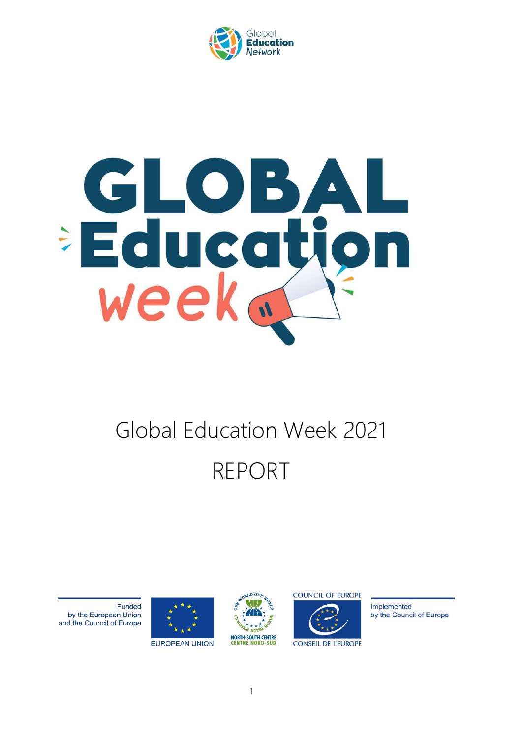

# GLOBAI Educati week ..

# Global Education Week 2021 REPORT





**EUROPEAN UNION** 





**CONSEIL DE L'EUROPE** 

Implemented by the Council of Europe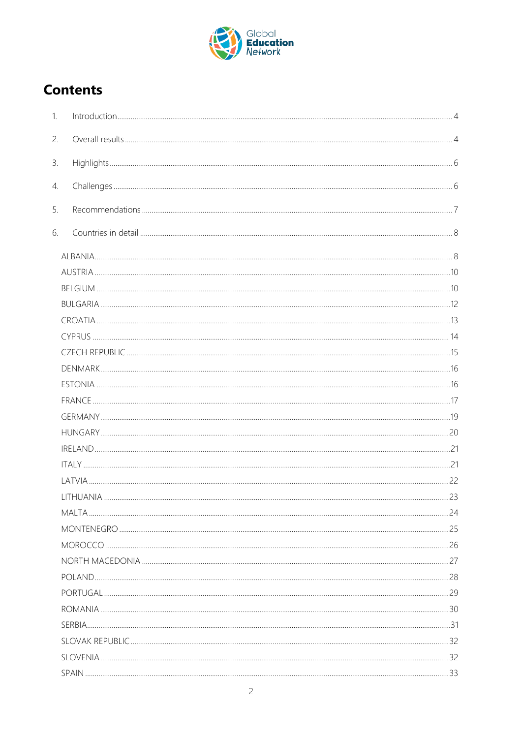

# **Contents**

| 1. |  |
|----|--|
| 2. |  |
| 3. |  |
| 4. |  |
| 5. |  |
| 6. |  |
|    |  |
|    |  |
|    |  |
|    |  |
|    |  |
|    |  |
|    |  |
|    |  |
|    |  |
|    |  |
|    |  |
|    |  |
|    |  |
|    |  |
|    |  |
|    |  |
|    |  |
|    |  |
|    |  |
|    |  |
|    |  |
|    |  |
|    |  |
|    |  |
|    |  |
|    |  |
|    |  |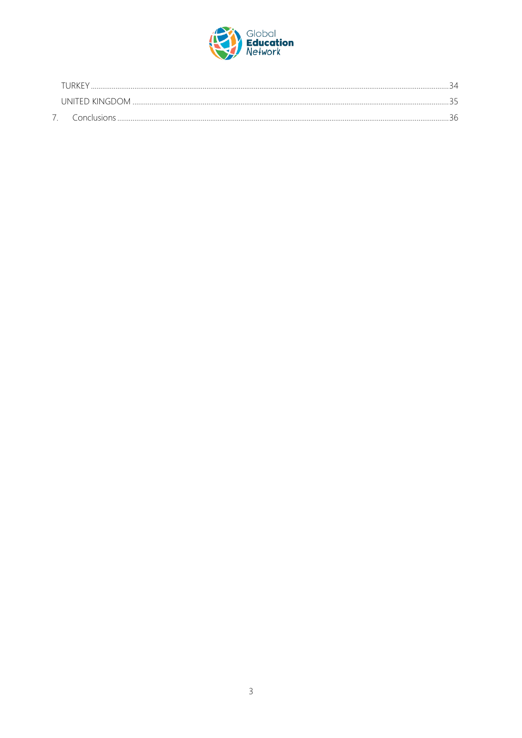

| IRK F'           |  |
|------------------|--|
| (INITEL) KINGDOM |  |
| Conclusion       |  |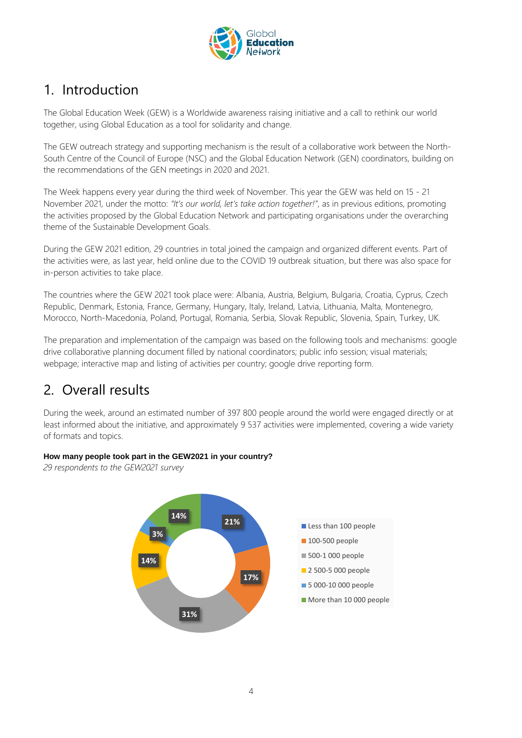

# <span id="page-3-0"></span>1. Introduction

The Global Education Week (GEW) is a Worldwide awareness raising initiative and a call to rethink our world together, using Global Education as a tool for solidarity and change.

The GEW outreach strategy and supporting mechanism is the result of a collaborative work between the North-South Centre of the Council of Europe (NSC) and the Global Education Network (GEN) coordinators, building on the recommendations of the GEN meetings in 2020 and 2021.

The Week happens every year during the third week of November. This year the GEW was held on 15 - 21 November 2021, under the motto: *"It's our world, let's take action together!"*, as in previous editions, promoting the activities proposed by the Global Education Network and participating organisations under the overarching theme of the Sustainable Development Goals.

During the GEW 2021 edition, 29 countries in total joined the campaign and organized different events. Part of the activities were, as last year, held online due to the COVID 19 outbreak situation, but there was also space for in-person activities to take place.

The countries where the GEW 2021 took place were: Albania, Austria, Belgium, Bulgaria, Croatia, Cyprus, Czech Republic, Denmark, Estonia, France, Germany, Hungary, Italy, Ireland, Latvia, Lithuania, Malta, Montenegro, Morocco, North-Macedonia, Poland, Portugal, Romania, Serbia, Slovak Republic, Slovenia, Spain, Turkey, UK.

The preparation and implementation of the campaign was based on the following tools and mechanisms: google drive collaborative planning document filled by national coordinators; public info session; visual materials; webpage; interactive map and listing of activities per country; google drive reporting form.

# <span id="page-3-1"></span>2. Overall results

During the week, around an estimated number of 397 800 people around the world were engaged directly or at least informed about the initiative, and approximately 9 537 activities were implemented, covering a wide variety of formats and topics.

#### **How many people took part in the GEW2021 in your country?**

*29 respondents to the GEW2021 survey*

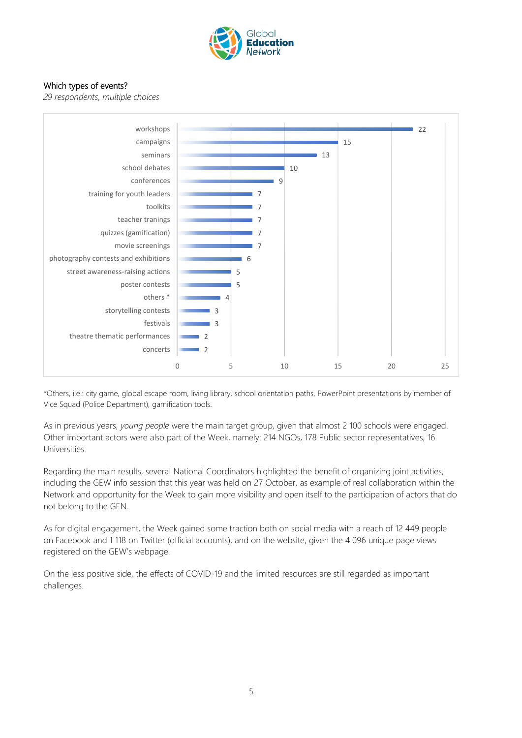

#### Which types of events?

*29 respondents, multiple choices*



\*Others, i.e.: city game, global escape room, living library, school orientation paths, PowerPoint presentations by member of Vice Squad (Police Department), gamification tools.

As in previous years, *young people* were the main target group, given that almost 2 100 schools were engaged. Other important actors were also part of the Week, namely: 214 NGOs, 178 Public sector representatives, 16 Universities.

Regarding the main results, several National Coordinators highlighted the benefit of organizing joint activities, including the GEW info session that this year was held on 27 October, as example of real collaboration within the Network and opportunity for the Week to gain more visibility and open itself to the participation of actors that do not belong to the GEN.

As for digital engagement, the Week gained some traction both on social media with a reach of 12 449 people on Facebook and 1 118 on Twitter (official accounts), and on the website, given the 4 096 unique page views registered on the GEW's webpage.

On the less positive side, the effects of COVID-19 and the limited resources are still regarded as important challenges.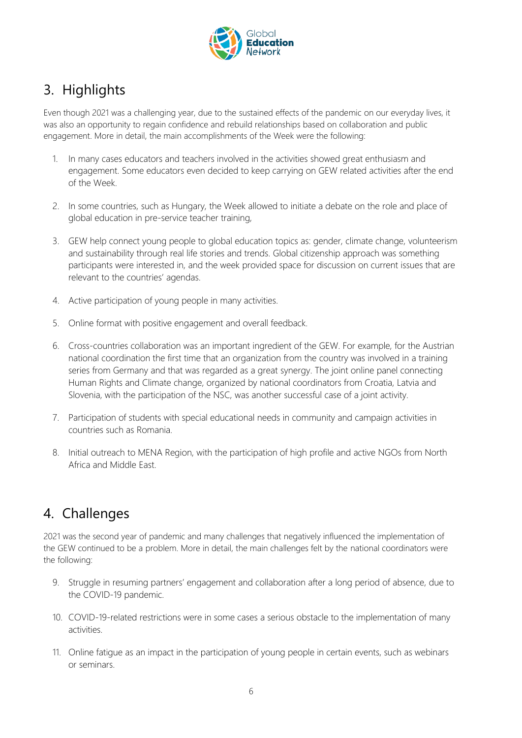

# <span id="page-5-0"></span>3. Highlights

Even though 2021 was a challenging year, due to the sustained effects of the pandemic on our everyday lives, it was also an opportunity to regain confidence and rebuild relationships based on collaboration and public engagement. More in detail, the main accomplishments of the Week were the following:

- 1. In many cases educators and teachers involved in the activities showed great enthusiasm and engagement. Some educators even decided to keep carrying on GEW related activities after the end of the Week.
- 2. In some countries, such as Hungary, the Week allowed to initiate a debate on the role and place of global education in pre-service teacher training,
- 3. GEW help connect young people to global education topics as: gender, climate change, volunteerism and sustainability through real life stories and trends. Global citizenship approach was something participants were interested in, and the week provided space for discussion on current issues that are relevant to the countries' agendas.
- 4. Active participation of young people in many activities.
- 5. Online format with positive engagement and overall feedback.
- 6. Cross-countries collaboration was an important ingredient of the GEW. For example, for the Austrian national coordination the first time that an organization from the country was involved in a training series from Germany and that was regarded as a great synergy. The joint online panel connecting Human Rights and Climate change, organized by national coordinators from Croatia, Latvia and Slovenia, with the participation of the NSC, was another successful case of a joint activity.
- 7. Participation of students with special educational needs in community and campaign activities in countries such as Romania.
- 8. Initial outreach to MENA Region, with the participation of high profile and active NGOs from North Africa and Middle East.

## <span id="page-5-1"></span>4. Challenges

2021 was the second year of pandemic and many challenges that negatively influenced the implementation of the GEW continued to be a problem. More in detail, the main challenges felt by the national coordinators were the following:

- 9. Struggle in resuming partners' engagement and collaboration after a long period of absence, due to the COVID-19 pandemic.
- 10. COVID-19-related restrictions were in some cases a serious obstacle to the implementation of many activities.
- 11. Online fatigue as an impact in the participation of young people in certain events, such as webinars or seminars.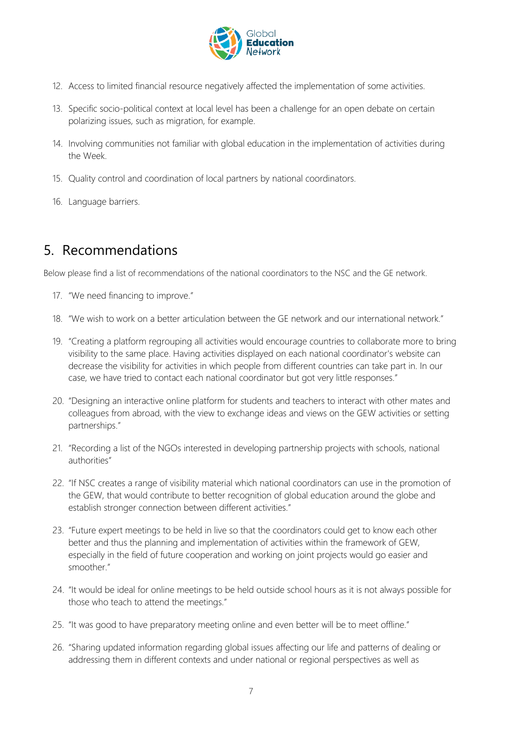

- 12. Access to limited financial resource negatively affected the implementation of some activities.
- 13. Specific socio-political context at local level has been a challenge for an open debate on certain polarizing issues, such as migration, for example.
- 14. Involving communities not familiar with global education in the implementation of activities during the Week.
- 15. Quality control and coordination of local partners by national coordinators.
- 16. Language barriers.

# <span id="page-6-0"></span>5. Recommendations

Below please find a list of recommendations of the national coordinators to the NSC and the GE network.

- 17. "We need financing to improve."
- 18. "We wish to work on a better articulation between the GE network and our international network."
- 19. "Creating a platform regrouping all activities would encourage countries to collaborate more to bring visibility to the same place. Having activities displayed on each national coordinator's website can decrease the visibility for activities in which people from different countries can take part in. In our case, we have tried to contact each national coordinator but got very little responses."
- 20. "Designing an interactive online platform for students and teachers to interact with other mates and colleagues from abroad, with the view to exchange ideas and views on the GEW activities or setting partnerships."
- 21. "Recording a list of the NGOs interested in developing partnership projects with schools, national authorities"
- 22. "If NSC creates a range of visibility material which national coordinators can use in the promotion of the GEW, that would contribute to better recognition of global education around the globe and establish stronger connection between different activities."
- 23. "Future expert meetings to be held in live so that the coordinators could get to know each other better and thus the planning and implementation of activities within the framework of GEW, especially in the field of future cooperation and working on joint projects would go easier and smoother."
- 24. "It would be ideal for online meetings to be held outside school hours as it is not always possible for those who teach to attend the meetings."
- 25. "It was good to have preparatory meeting online and even better will be to meet offline."
- 26. "Sharing updated information regarding global issues affecting our life and patterns of dealing or addressing them in different contexts and under national or regional perspectives as well as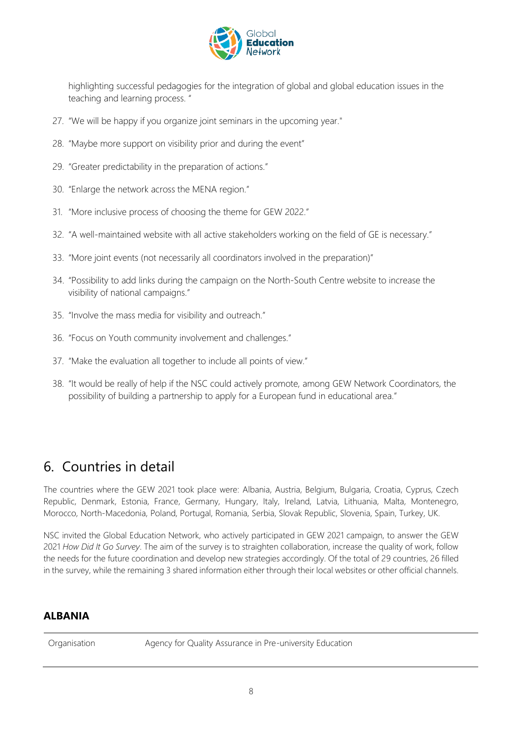

highlighting successful pedagogies for the integration of global and global education issues in the teaching and learning process. "

- 27. "We will be happy if you organize joint seminars in the upcoming year."
- 28. "Maybe more support on visibility prior and during the event"
- 29. "Greater predictability in the preparation of actions."
- 30. "Enlarge the network across the MENA region."
- 31. "More inclusive process of choosing the theme for GEW 2022."
- 32. "A well-maintained website with all active stakeholders working on the field of GE is necessary."
- 33. "More joint events (not necessarily all coordinators involved in the preparation)"
- 34. "Possibility to add links during the campaign on the North-South Centre website to increase the visibility of national campaigns."
- 35. "Involve the mass media for visibility and outreach."
- 36. "Focus on Youth community involvement and challenges."
- 37. "Make the evaluation all together to include all points of view."
- 38. "It would be really of help if the NSC could actively promote, among GEW Network Coordinators, the possibility of building a partnership to apply for a European fund in educational area."

## <span id="page-7-0"></span>6. Countries in detail

The countries where the GEW 2021 took place were: Albania, Austria, Belgium, Bulgaria, Croatia, Cyprus, Czech Republic, Denmark, Estonia, France, Germany, Hungary, Italy, Ireland, Latvia, Lithuania, Malta, Montenegro, Morocco, North-Macedonia, Poland, Portugal, Romania, Serbia, Slovak Republic, Slovenia, Spain, Turkey, UK.

NSC invited the Global Education Network, who actively participated in GEW 2021 campaign, to answer the GEW 2021 *How Did It Go Survey*. The aim of the survey is to straighten collaboration, increase the quality of work, follow the needs for the future coordination and develop new strategies accordingly. Of the total of 29 countries, 26 filled in the survey, while the remaining 3 shared information either through their local websites or other official channels.

#### <span id="page-7-1"></span>**ALBANIA**

Organisation **Agency for Quality Assurance in Pre-university Education**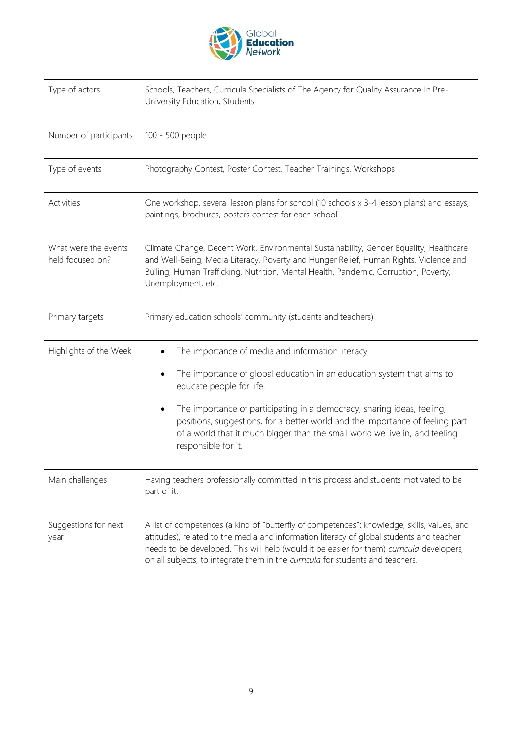

| Type of actors                           | Schools, Teachers, Curricula Specialists of The Agency for Quality Assurance In Pre-<br>University Education, Students                                                                                                                                                                                                                                                                                                                 |
|------------------------------------------|----------------------------------------------------------------------------------------------------------------------------------------------------------------------------------------------------------------------------------------------------------------------------------------------------------------------------------------------------------------------------------------------------------------------------------------|
| Number of participants                   | 100 - 500 people                                                                                                                                                                                                                                                                                                                                                                                                                       |
| Type of events                           | Photography Contest, Poster Contest, Teacher Trainings, Workshops                                                                                                                                                                                                                                                                                                                                                                      |
| Activities                               | One workshop, several lesson plans for school (10 schools x 3-4 lesson plans) and essays,<br>paintings, brochures, posters contest for each school                                                                                                                                                                                                                                                                                     |
| What were the events<br>held focused on? | Climate Change, Decent Work, Environmental Sustainability, Gender Equality, Healthcare<br>and Well-Being, Media Literacy, Poverty and Hunger Relief, Human Rights, Violence and<br>Bulling, Human Trafficking, Nutrition, Mental Health, Pandemic, Corruption, Poverty,<br>Unemployment, etc.                                                                                                                                          |
| Primary targets                          | Primary education schools' community (students and teachers)                                                                                                                                                                                                                                                                                                                                                                           |
| Highlights of the Week                   | The importance of media and information literacy.<br>The importance of global education in an education system that aims to<br>$\bullet$<br>educate people for life.<br>The importance of participating in a democracy, sharing ideas, feeling,<br>positions, suggestions, for a better world and the importance of feeling part<br>of a world that it much bigger than the small world we live in, and feeling<br>responsible for it. |
| Main challenges                          | Having teachers professionally committed in this process and students motivated to be<br>part of it.                                                                                                                                                                                                                                                                                                                                   |
| Suggestions for next<br>year             | A list of competences (a kind of "butterfly of competences": knowledge, skills, values, and<br>attitudes), related to the media and information literacy of global students and teacher,<br>needs to be developed. This will help (would it be easier for them) curricula developers,<br>on all subjects, to integrate them in the curricula for students and teachers.                                                                |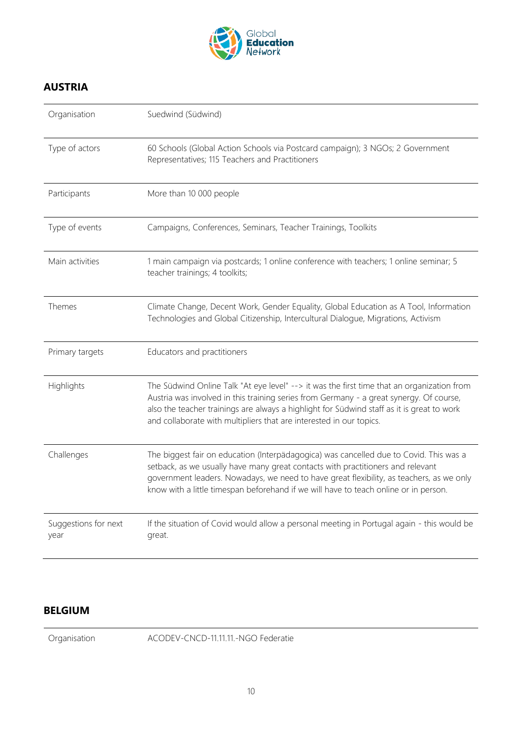

#### <span id="page-9-0"></span>**AUSTRIA**

| Organisation                 | Suedwind (Südwind)                                                                                                                                                                                                                                                                                                                                            |
|------------------------------|---------------------------------------------------------------------------------------------------------------------------------------------------------------------------------------------------------------------------------------------------------------------------------------------------------------------------------------------------------------|
| Type of actors               | 60 Schools (Global Action Schools via Postcard campaign); 3 NGOs; 2 Government<br>Representatives; 115 Teachers and Practitioners                                                                                                                                                                                                                             |
| Participants                 | More than 10 000 people                                                                                                                                                                                                                                                                                                                                       |
| Type of events               | Campaigns, Conferences, Seminars, Teacher Trainings, Toolkits                                                                                                                                                                                                                                                                                                 |
| Main activities              | 1 main campaign via postcards; 1 online conference with teachers; 1 online seminar; 5<br>teacher trainings; 4 toolkits;                                                                                                                                                                                                                                       |
| <b>Themes</b>                | Climate Change, Decent Work, Gender Equality, Global Education as A Tool, Information<br>Technologies and Global Citizenship, Intercultural Dialogue, Migrations, Activism                                                                                                                                                                                    |
| Primary targets              | Educators and practitioners                                                                                                                                                                                                                                                                                                                                   |
| Highlights                   | The Südwind Online Talk "At eye level" --> it was the first time that an organization from<br>Austria was involved in this training series from Germany - a great synergy. Of course,<br>also the teacher trainings are always a highlight for Südwind staff as it is great to work<br>and collaborate with multipliers that are interested in our topics.    |
| Challenges                   | The biggest fair on education (Interpädagogica) was cancelled due to Covid. This was a<br>setback, as we usually have many great contacts with practitioners and relevant<br>government leaders. Nowadays, we need to have great flexibility, as teachers, as we only<br>know with a little timespan beforehand if we will have to teach online or in person. |
| Suggestions for next<br>year | If the situation of Covid would allow a personal meeting in Portugal again - this would be<br>great.                                                                                                                                                                                                                                                          |

#### <span id="page-9-1"></span>**BELGIUM**

Organisation ACODEV-CNCD-11.11.11.-NGO Federatie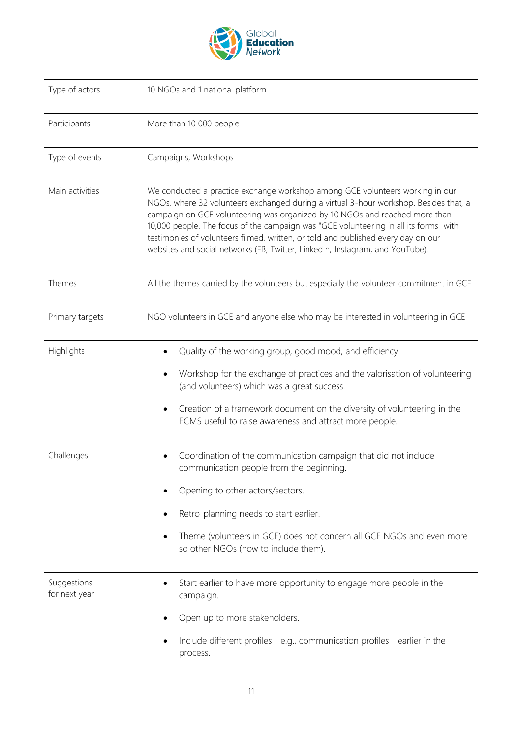

| Type of actors               | 10 NGOs and 1 national platform                                                                                                                                                                                                                                                                                                                                                                                                                                                                                      |
|------------------------------|----------------------------------------------------------------------------------------------------------------------------------------------------------------------------------------------------------------------------------------------------------------------------------------------------------------------------------------------------------------------------------------------------------------------------------------------------------------------------------------------------------------------|
| Participants                 | More than 10 000 people                                                                                                                                                                                                                                                                                                                                                                                                                                                                                              |
| Type of events               | Campaigns, Workshops                                                                                                                                                                                                                                                                                                                                                                                                                                                                                                 |
| Main activities              | We conducted a practice exchange workshop among GCE volunteers working in our<br>NGOs, where 32 volunteers exchanged during a virtual 3-hour workshop. Besides that, a<br>campaign on GCE volunteering was organized by 10 NGOs and reached more than<br>10,000 people. The focus of the campaign was "GCE volunteering in all its forms" with<br>testimonies of volunteers filmed, written, or told and published every day on our<br>websites and social networks (FB, Twitter, LinkedIn, Instagram, and YouTube). |
| Themes                       | All the themes carried by the volunteers but especially the volunteer commitment in GCE                                                                                                                                                                                                                                                                                                                                                                                                                              |
| Primary targets              | NGO volunteers in GCE and anyone else who may be interested in volunteering in GCE                                                                                                                                                                                                                                                                                                                                                                                                                                   |
| Highlights                   | Quality of the working group, good mood, and efficiency.                                                                                                                                                                                                                                                                                                                                                                                                                                                             |
|                              | Workshop for the exchange of practices and the valorisation of volunteering<br>(and volunteers) which was a great success.                                                                                                                                                                                                                                                                                                                                                                                           |
|                              | Creation of a framework document on the diversity of volunteering in the<br>ECMS useful to raise awareness and attract more people.                                                                                                                                                                                                                                                                                                                                                                                  |
| Challenges                   | Coordination of the communication campaign that did not include<br>communication people from the beginning.                                                                                                                                                                                                                                                                                                                                                                                                          |
|                              | Opening to other actors/sectors.                                                                                                                                                                                                                                                                                                                                                                                                                                                                                     |
|                              | Retro-planning needs to start earlier.                                                                                                                                                                                                                                                                                                                                                                                                                                                                               |
|                              | Theme (volunteers in GCE) does not concern all GCE NGOs and even more<br>so other NGOs (how to include them).                                                                                                                                                                                                                                                                                                                                                                                                        |
| Suggestions<br>for next year | Start earlier to have more opportunity to engage more people in the<br>campaign.                                                                                                                                                                                                                                                                                                                                                                                                                                     |
|                              | Open up to more stakeholders.                                                                                                                                                                                                                                                                                                                                                                                                                                                                                        |
|                              | Include different profiles - e.g., communication profiles - earlier in the<br>process.                                                                                                                                                                                                                                                                                                                                                                                                                               |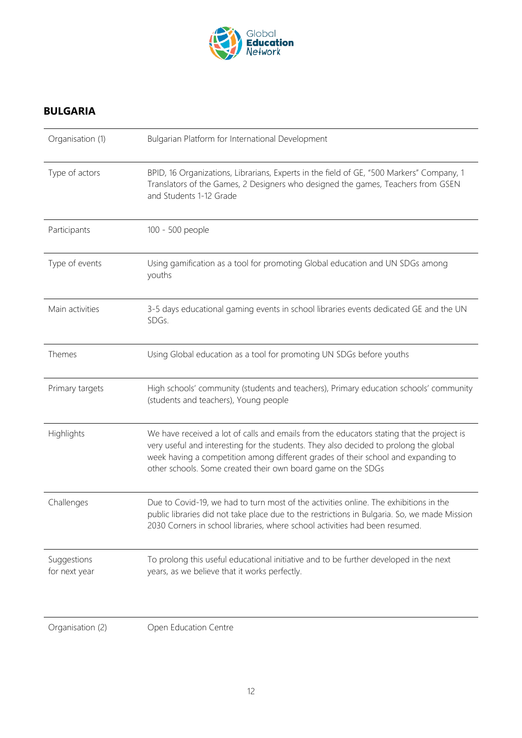

#### <span id="page-11-0"></span>**BULGARIA**

| Organisation (1)             | Bulgarian Platform for International Development                                                                                                                                                                                                                                                                                        |
|------------------------------|-----------------------------------------------------------------------------------------------------------------------------------------------------------------------------------------------------------------------------------------------------------------------------------------------------------------------------------------|
| Type of actors               | BPID, 16 Organizations, Librarians, Experts in the field of GE, "500 Markers" Company, 1<br>Translators of the Games, 2 Designers who designed the games, Teachers from GSEN<br>and Students 1-12 Grade                                                                                                                                 |
| Participants                 | 100 - 500 people                                                                                                                                                                                                                                                                                                                        |
| Type of events               | Using gamification as a tool for promoting Global education and UN SDGs among<br>youths                                                                                                                                                                                                                                                 |
| Main activities              | 3-5 days educational gaming events in school libraries events dedicated GE and the UN<br>SDGs.                                                                                                                                                                                                                                          |
| Themes                       | Using Global education as a tool for promoting UN SDGs before youths                                                                                                                                                                                                                                                                    |
| Primary targets              | High schools' community (students and teachers), Primary education schools' community<br>(students and teachers), Young people                                                                                                                                                                                                          |
| Highlights                   | We have received a lot of calls and emails from the educators stating that the project is<br>very useful and interesting for the students. They also decided to prolong the global<br>week having a competition among different grades of their school and expanding to<br>other schools. Some created their own board game on the SDGs |
| Challenges                   | Due to Covid-19, we had to turn most of the activities online. The exhibitions in the<br>public libraries did not take place due to the restrictions in Bulgaria. So, we made Mission<br>2030 Corners in school libraries, where school activities had been resumed.                                                                    |
| Suggestions<br>for next year | To prolong this useful educational initiative and to be further developed in the next<br>years, as we believe that it works perfectly.                                                                                                                                                                                                  |
| Organisation (2)             | Open Education Centre                                                                                                                                                                                                                                                                                                                   |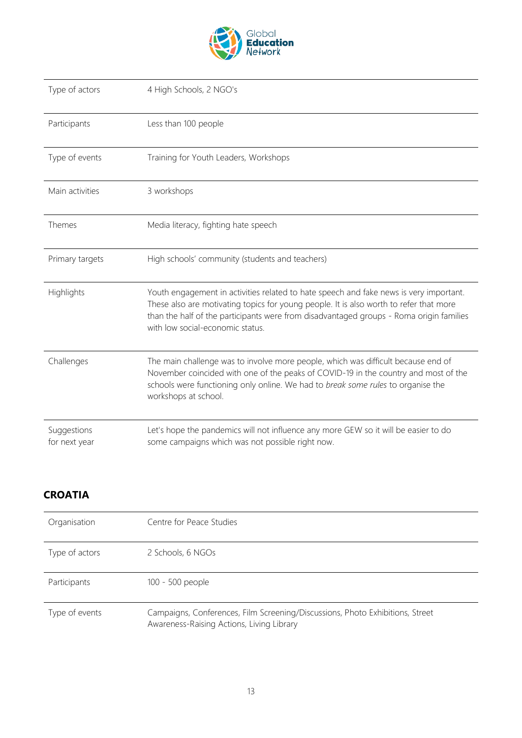

| Type of actors               | 4 High Schools, 2 NGO's                                                                                                                                                                                                                                                                                         |
|------------------------------|-----------------------------------------------------------------------------------------------------------------------------------------------------------------------------------------------------------------------------------------------------------------------------------------------------------------|
| Participants                 | Less than 100 people                                                                                                                                                                                                                                                                                            |
| Type of events               | Training for Youth Leaders, Workshops                                                                                                                                                                                                                                                                           |
| Main activities              | 3 workshops                                                                                                                                                                                                                                                                                                     |
| Themes                       | Media literacy, fighting hate speech                                                                                                                                                                                                                                                                            |
| Primary targets              | High schools' community (students and teachers)                                                                                                                                                                                                                                                                 |
| Highlights                   | Youth engagement in activities related to hate speech and fake news is very important.<br>These also are motivating topics for young people. It is also worth to refer that more<br>than the half of the participants were from disadvantaged groups - Roma origin families<br>with low social-economic status. |
| Challenges                   | The main challenge was to involve more people, which was difficult because end of<br>November coincided with one of the peaks of COVID-19 in the country and most of the<br>schools were functioning only online. We had to break some rules to organise the<br>workshops at school.                            |
| Suggestions<br>for next year | Let's hope the pandemics will not influence any more GEW so it will be easier to do<br>some campaigns which was not possible right now.                                                                                                                                                                         |

#### <span id="page-12-0"></span>**CROATIA**

| Organisation   | Centre for Peace Studies                                                      |
|----------------|-------------------------------------------------------------------------------|
| Type of actors | 2 Schools, 6 NGOs                                                             |
| Participants   | 100 - 500 people                                                              |
| Type of events | Campaigns, Conferences, Film Screening/Discussions, Photo Exhibitions, Street |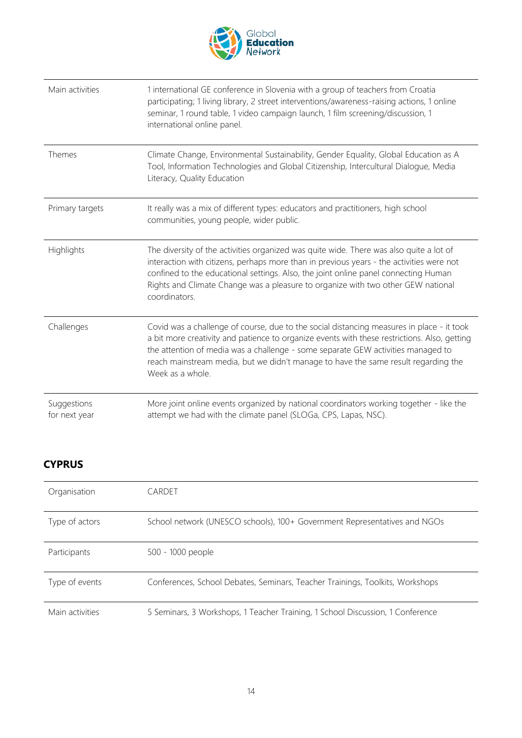

| Main activities              | 1 international GE conference in Slovenia with a group of teachers from Croatia<br>participating; 1 living library, 2 street interventions/awareness-raising actions, 1 online<br>seminar, 1 round table, 1 video campaign launch, 1 film screening/discussion, 1<br>international online panel.                                                                                        |
|------------------------------|-----------------------------------------------------------------------------------------------------------------------------------------------------------------------------------------------------------------------------------------------------------------------------------------------------------------------------------------------------------------------------------------|
| Themes                       | Climate Change, Environmental Sustainability, Gender Equality, Global Education as A<br>Tool, Information Technologies and Global Citizenship, Intercultural Dialogue, Media<br>Literacy, Quality Education                                                                                                                                                                             |
| Primary targets              | It really was a mix of different types: educators and practitioners, high school<br>communities, young people, wider public.                                                                                                                                                                                                                                                            |
| Highlights                   | The diversity of the activities organized was quite wide. There was also quite a lot of<br>interaction with citizens, perhaps more than in previous years - the activities were not<br>confined to the educational settings. Also, the joint online panel connecting Human<br>Rights and Climate Change was a pleasure to organize with two other GEW national<br>coordinators.         |
| Challenges                   | Covid was a challenge of course, due to the social distancing measures in place - it took<br>a bit more creativity and patience to organize events with these restrictions. Also, getting<br>the attention of media was a challenge - some separate GEW activities managed to<br>reach mainstream media, but we didn't manage to have the same result regarding the<br>Week as a whole. |
| Suggestions<br>for next year | More joint online events organized by national coordinators working together - like the<br>attempt we had with the climate panel (SLOGa, CPS, Lapas, NSC).                                                                                                                                                                                                                              |

#### <span id="page-13-0"></span>**CYPRUS**

| Organisation    | CARDET                                                                         |
|-----------------|--------------------------------------------------------------------------------|
| Type of actors  | School network (UNESCO schools), 100+ Government Representatives and NGOs      |
| Participants    | 500 - 1000 people                                                              |
| Type of events  | Conferences, School Debates, Seminars, Teacher Trainings, Toolkits, Workshops  |
| Main activities | 5 Seminars, 3 Workshops, 1 Teacher Training, 1 School Discussion, 1 Conference |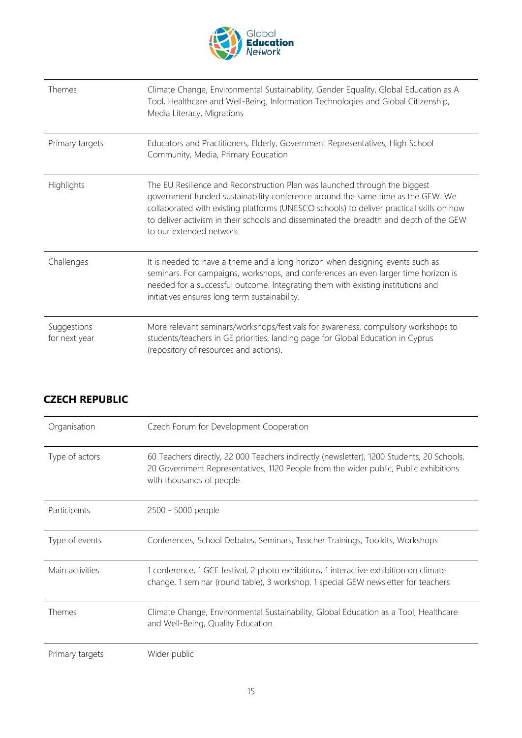

| Themes                       | Climate Change, Environmental Sustainability, Gender Equality, Global Education as A<br>Tool, Healthcare and Well-Being, Information Technologies and Global Citizenship,<br>Media Literacy, Migrations                                                                                                                                                                         |
|------------------------------|---------------------------------------------------------------------------------------------------------------------------------------------------------------------------------------------------------------------------------------------------------------------------------------------------------------------------------------------------------------------------------|
| Primary targets              | Educators and Practitioners, Elderly, Government Representatives, High School<br>Community, Media, Primary Education                                                                                                                                                                                                                                                            |
| Highlights                   | The EU Resilience and Reconstruction Plan was launched through the biggest<br>government funded sustainability conference around the same time as the GEW. We<br>collaborated with existing platforms (UNESCO schools) to deliver practical skills on how<br>to deliver activism in their schools and disseminated the breadth and depth of the GEW<br>to our extended network. |
| Challenges                   | It is needed to have a theme and a long horizon when designing events such as<br>seminars. For campaigns, workshops, and conferences an even larger time horizon is<br>needed for a successful outcome. Integrating them with existing institutions and<br>initiatives ensures long term sustainability.                                                                        |
| Suggestions<br>for next year | More relevant seminars/workshops/festivals for awareness, compulsory workshops to<br>students/teachers in GE priorities, landing page for Global Education in Cyprus<br>(repository of resources and actions).                                                                                                                                                                  |

| Organisation    | Czech Forum for Development Cooperation                                                                                                                                                                        |
|-----------------|----------------------------------------------------------------------------------------------------------------------------------------------------------------------------------------------------------------|
| Type of actors  | 60 Teachers directly, 22 000 Teachers indirectly (newsletter), 1200 Students, 20 Schools,<br>20 Government Representatives, 1120 People from the wider public, Public exhibitions<br>with thousands of people. |
| Participants    | 2500 - 5000 people                                                                                                                                                                                             |
| Type of events  | Conferences, School Debates, Seminars, Teacher Trainings, Toolkits, Workshops                                                                                                                                  |
| Main activities | 1 conference, 1 GCE festival, 2 photo exhibitions, 1 interactive exhibition on climate<br>change, 1 seminar (round table), 3 workshop, 1 special GEW newsletter for teachers                                   |
| Themes          | Climate Change, Environmental Sustainability, Global Education as a Tool, Healthcare<br>and Well-Being, Quality Education                                                                                      |
| Primary targets | Wider public                                                                                                                                                                                                   |

#### <span id="page-14-0"></span>**CZECH REPUBLIC**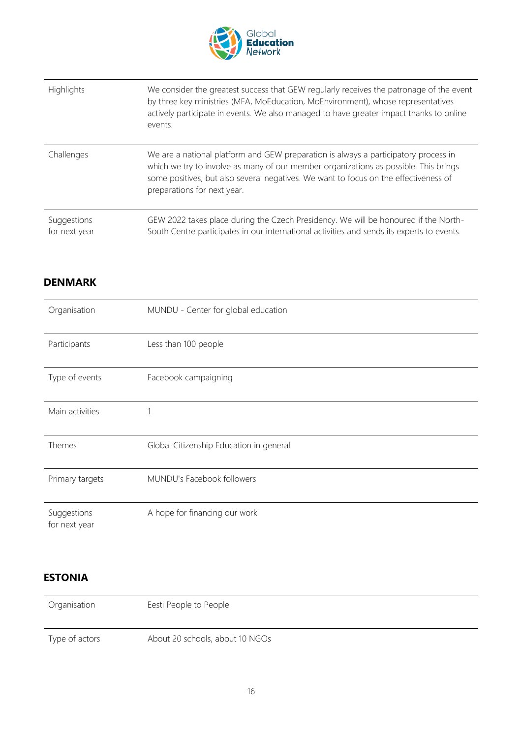

| Highlights                   | We consider the greatest success that GEW regularly receives the patronage of the event<br>by three key ministries (MFA, MoEducation, MoEnvironment), whose representatives<br>actively participate in events. We also managed to have greater impact thanks to online<br>events.                  |
|------------------------------|----------------------------------------------------------------------------------------------------------------------------------------------------------------------------------------------------------------------------------------------------------------------------------------------------|
| Challenges                   | We are a national platform and GEW preparation is always a participatory process in<br>which we try to involve as many of our member organizations as possible. This brings<br>some positives, but also several negatives. We want to focus on the effectiveness of<br>preparations for next year. |
| Suggestions<br>for next year | GEW 2022 takes place during the Czech Presidency. We will be honoured if the North-<br>South Centre participates in our international activities and sends its experts to events.                                                                                                                  |

#### <span id="page-15-0"></span>**DENMARK**

| Organisation                 | MUNDU - Center for global education     |
|------------------------------|-----------------------------------------|
| Participants                 | Less than 100 people                    |
| Type of events               | Facebook campaigning                    |
| Main activities              |                                         |
| Themes                       | Global Citizenship Education in general |
| Primary targets              | MUNDU's Facebook followers              |
| Suggestions<br>for next year | A hope for financing our work           |

#### <span id="page-15-1"></span>**ESTONIA**

| Organisation   | Eesti People to People          |
|----------------|---------------------------------|
| Type of actors | About 20 schools, about 10 NGOs |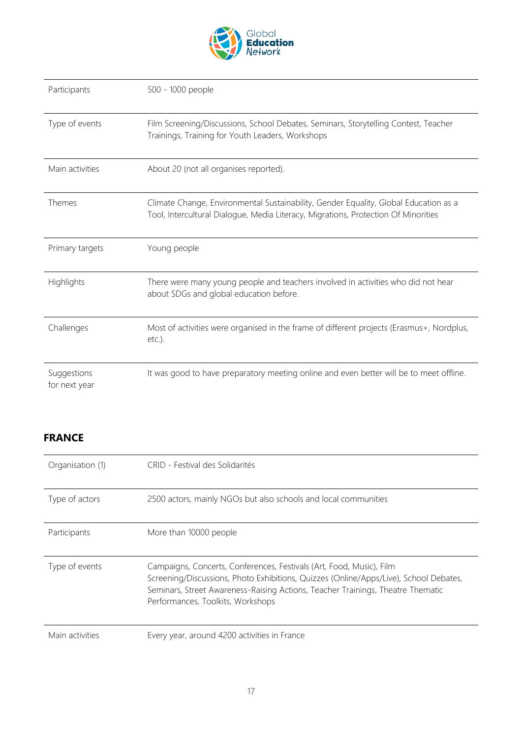

| Participants    | 500 - 1000 people                                                                                                                                                          |
|-----------------|----------------------------------------------------------------------------------------------------------------------------------------------------------------------------|
| Type of events  | Film Screening/Discussions, School Debates, Seminars, Storytelling Contest, Teacher<br>Trainings, Training for Youth Leaders, Workshops                                    |
| Main activities | About 20 (not all organises reported).                                                                                                                                     |
| Themes          | Climate Change, Environmental Sustainability, Gender Equality, Global Education as a<br>Tool, Intercultural Dialogue, Media Literacy, Migrations, Protection Of Minorities |
|                 |                                                                                                                                                                            |
| Primary targets | Young people                                                                                                                                                               |
| Highlights      | There were many young people and teachers involved in activities who did not hear<br>about SDGs and global education before.                                               |
| Challenges      | Most of activities were organised in the frame of different projects (Erasmus+, Nordplus,<br>$etc.$ ).                                                                     |

#### <span id="page-16-0"></span>**FRANCE**

| Organisation (1) | CRID - Festival des Solidarités                                                                                                                                                                                                                                                       |
|------------------|---------------------------------------------------------------------------------------------------------------------------------------------------------------------------------------------------------------------------------------------------------------------------------------|
| Type of actors   | 2500 actors, mainly NGOs but also schools and local communities                                                                                                                                                                                                                       |
| Participants     | More than 10000 people                                                                                                                                                                                                                                                                |
| Type of events   | Campaigns, Concerts, Conferences, Festivals (Art, Food, Music), Film<br>Screening/Discussions, Photo Exhibitions, Quizzes (Online/Apps/Live), School Debates,<br>Seminars, Street Awareness-Raising Actions, Teacher Trainings, Theatre Thematic<br>Performances, Toolkits, Workshops |
| Main activities  | Every year, around 4200 activities in France                                                                                                                                                                                                                                          |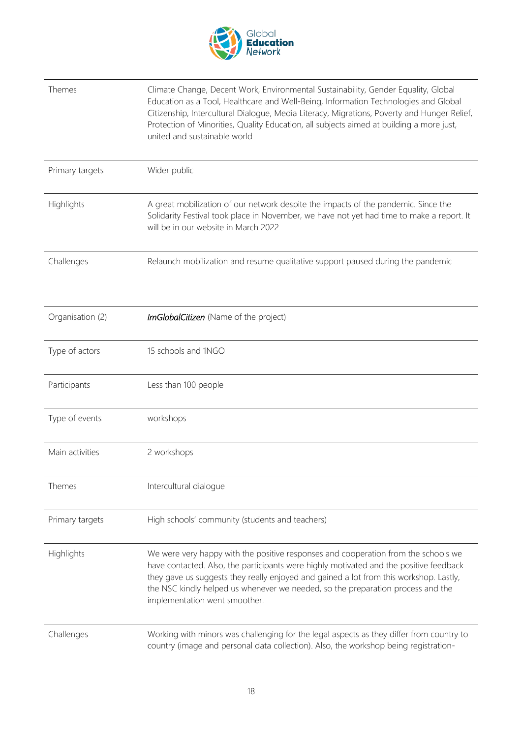

| Themes           | Climate Change, Decent Work, Environmental Sustainability, Gender Equality, Global<br>Education as a Tool, Healthcare and Well-Being, Information Technologies and Global<br>Citizenship, Intercultural Dialogue, Media Literacy, Migrations, Poverty and Hunger Relief,<br>Protection of Minorities, Quality Education, all subjects aimed at building a more just,<br>united and sustainable world |
|------------------|------------------------------------------------------------------------------------------------------------------------------------------------------------------------------------------------------------------------------------------------------------------------------------------------------------------------------------------------------------------------------------------------------|
| Primary targets  | Wider public                                                                                                                                                                                                                                                                                                                                                                                         |
| Highlights       | A great mobilization of our network despite the impacts of the pandemic. Since the<br>Solidarity Festival took place in November, we have not yet had time to make a report. It<br>will be in our website in March 2022                                                                                                                                                                              |
| Challenges       | Relaunch mobilization and resume qualitative support paused during the pandemic                                                                                                                                                                                                                                                                                                                      |
| Organisation (2) | ImGlobalCitizen (Name of the project)                                                                                                                                                                                                                                                                                                                                                                |
| Type of actors   | 15 schools and 1NGO                                                                                                                                                                                                                                                                                                                                                                                  |
| Participants     | Less than 100 people                                                                                                                                                                                                                                                                                                                                                                                 |
| Type of events   | workshops                                                                                                                                                                                                                                                                                                                                                                                            |
| Main activities  | 2 workshops                                                                                                                                                                                                                                                                                                                                                                                          |
| Themes           | Intercultural dialogue                                                                                                                                                                                                                                                                                                                                                                               |
| Primary targets  | High schools' community (students and teachers)                                                                                                                                                                                                                                                                                                                                                      |
| Highlights       | We were very happy with the positive responses and cooperation from the schools we<br>have contacted. Also, the participants were highly motivated and the positive feedback<br>they gave us suggests they really enjoyed and gained a lot from this workshop. Lastly,<br>the NSC kindly helped us whenever we needed, so the preparation process and the<br>implementation went smoother.           |
| Challenges       | Working with minors was challenging for the legal aspects as they differ from country to<br>country (image and personal data collection). Also, the workshop being registration-                                                                                                                                                                                                                     |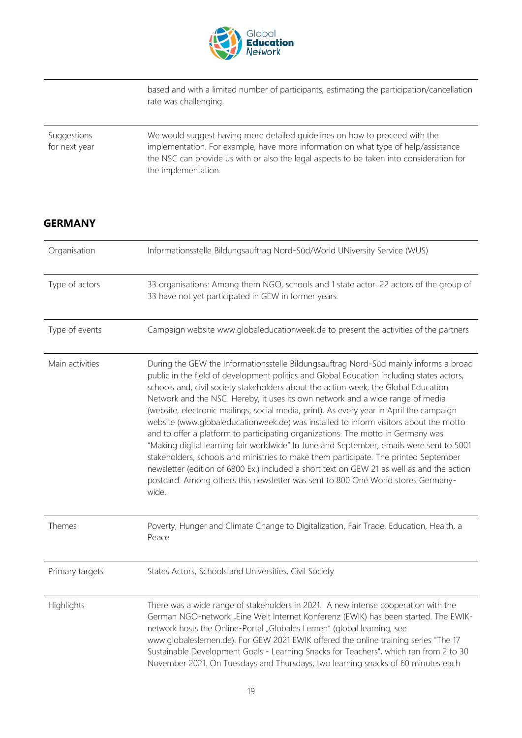

based and with a limited number of participants, estimating the participation/cancellation rate was challenging.

| Suggestions   | We would suggest having more detailed guidelines on how to proceed with the                                                                                                                           |
|---------------|-------------------------------------------------------------------------------------------------------------------------------------------------------------------------------------------------------|
| for next year | implementation. For example, have more information on what type of help/assistance<br>the NSC can provide us with or also the legal aspects to be taken into consideration for<br>the implementation. |

#### <span id="page-18-0"></span>**GERMANY**

| Organisation    | Informationsstelle Bildungsauftrag Nord-Süd/World UNiversity Service (WUS)                                                                                                                                                                                                                                                                                                                                                                                                                                                                                                                                                                                                                                                                                                                                                                                                                                                                                                                                          |
|-----------------|---------------------------------------------------------------------------------------------------------------------------------------------------------------------------------------------------------------------------------------------------------------------------------------------------------------------------------------------------------------------------------------------------------------------------------------------------------------------------------------------------------------------------------------------------------------------------------------------------------------------------------------------------------------------------------------------------------------------------------------------------------------------------------------------------------------------------------------------------------------------------------------------------------------------------------------------------------------------------------------------------------------------|
| Type of actors  | 33 organisations: Among them NGO, schools and 1 state actor. 22 actors of the group of<br>33 have not yet participated in GEW in former years.                                                                                                                                                                                                                                                                                                                                                                                                                                                                                                                                                                                                                                                                                                                                                                                                                                                                      |
| Type of events  | Campaign website www.globaleducationweek.de to present the activities of the partners                                                                                                                                                                                                                                                                                                                                                                                                                                                                                                                                                                                                                                                                                                                                                                                                                                                                                                                               |
| Main activities | During the GEW the Informationsstelle Bildungsauftrag Nord-Süd mainly informs a broad<br>public in the field of development politics and Global Education including states actors,<br>schools and, civil society stakeholders about the action week, the Global Education<br>Network and the NSC. Hereby, it uses its own network and a wide range of media<br>(website, electronic mailings, social media, print). As every year in April the campaign<br>website (www.globaleducationweek.de) was installed to inform visitors about the motto<br>and to offer a platform to participating organizations. The motto in Germany was<br>"Making digital learning fair worldwide" In June and September, emails were sent to 5001<br>stakeholders, schools and ministries to make them participate. The printed September<br>newsletter (edition of 6800 Ex.) included a short text on GEW 21 as well as and the action<br>postcard. Among others this newsletter was sent to 800 One World stores Germany-<br>wide. |
| Themes          | Poverty, Hunger and Climate Change to Digitalization, Fair Trade, Education, Health, a<br>Peace                                                                                                                                                                                                                                                                                                                                                                                                                                                                                                                                                                                                                                                                                                                                                                                                                                                                                                                     |
| Primary targets | States Actors, Schools and Universities, Civil Society                                                                                                                                                                                                                                                                                                                                                                                                                                                                                                                                                                                                                                                                                                                                                                                                                                                                                                                                                              |
| Highlights      | There was a wide range of stakeholders in 2021. A new intense cooperation with the<br>German NGO-network "Eine Welt Internet Konferenz (EWIK) has been started. The EWIK-<br>network hosts the Online-Portal "Globales Lernen" (global learning, see<br>www.globaleslernen.de). For GEW 2021 EWIK offered the online training series "The 17<br>Sustainable Development Goals - Learning Snacks for Teachers", which ran from 2 to 30<br>November 2021. On Tuesdays and Thursdays, two learning snacks of 60 minutes each                                                                                                                                                                                                                                                                                                                                                                                                                                                                                           |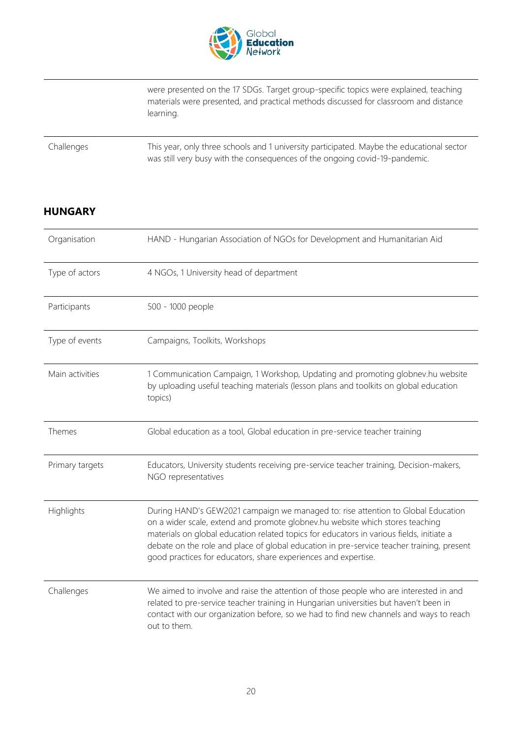

were presented on the 17 SDGs. Target group-specific topics were explained, teaching materials were presented, and practical methods discussed for classroom and distance learning.

Challenges This year, only three schools and 1 university participated. Maybe the educational sector was still very busy with the consequences of the ongoing covid-19-pandemic.

#### <span id="page-19-0"></span>**HUNGARY**

| Organisation    | HAND - Hungarian Association of NGOs for Development and Humanitarian Aid                                                                                                                                                                                                                                                                                                                                                    |
|-----------------|------------------------------------------------------------------------------------------------------------------------------------------------------------------------------------------------------------------------------------------------------------------------------------------------------------------------------------------------------------------------------------------------------------------------------|
| Type of actors  | 4 NGOs, 1 University head of department                                                                                                                                                                                                                                                                                                                                                                                      |
| Participants    | 500 - 1000 people                                                                                                                                                                                                                                                                                                                                                                                                            |
| Type of events  | Campaigns, Toolkits, Workshops                                                                                                                                                                                                                                                                                                                                                                                               |
| Main activities | 1 Communication Campaign, 1 Workshop, Updating and promoting globnev.hu website<br>by uploading useful teaching materials (lesson plans and toolkits on global education<br>topics)                                                                                                                                                                                                                                          |
| Themes          | Global education as a tool, Global education in pre-service teacher training                                                                                                                                                                                                                                                                                                                                                 |
| Primary targets | Educators, University students receiving pre-service teacher training, Decision-makers,<br>NGO representatives                                                                                                                                                                                                                                                                                                               |
| Highlights      | During HAND's GEW2021 campaign we managed to: rise attention to Global Education<br>on a wider scale, extend and promote globnev.hu website which stores teaching<br>materials on global education related topics for educators in various fields, initiate a<br>debate on the role and place of global education in pre-service teacher training, present<br>good practices for educators, share experiences and expertise. |
| Challenges      | We aimed to involve and raise the attention of those people who are interested in and<br>related to pre-service teacher training in Hungarian universities but haven't been in<br>contact with our organization before, so we had to find new channels and ways to reach<br>out to them.                                                                                                                                     |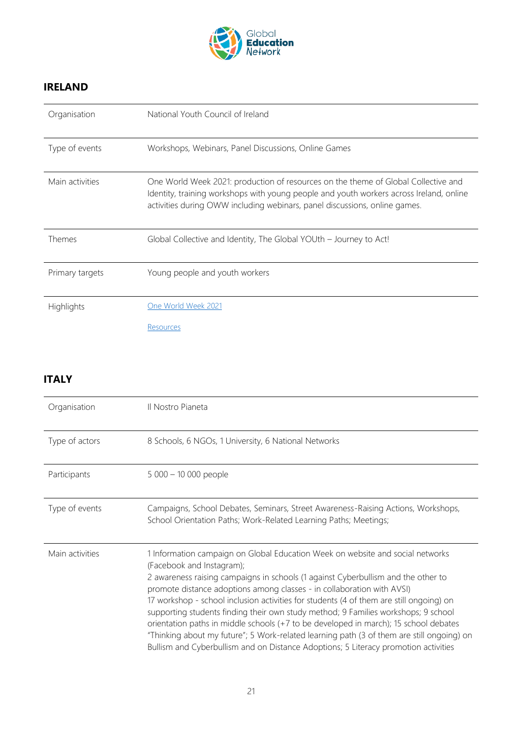

#### <span id="page-20-0"></span>**IRELAND**

| Organisation    | National Youth Council of Ireland                                                                                                                                                                                                                           |
|-----------------|-------------------------------------------------------------------------------------------------------------------------------------------------------------------------------------------------------------------------------------------------------------|
| Type of events  | Workshops, Webinars, Panel Discussions, Online Games                                                                                                                                                                                                        |
| Main activities | One World Week 2021: production of resources on the theme of Global Collective and<br>Identity, training workshops with young people and youth workers across Ireland, online<br>activities during OWW including webinars, panel discussions, online games. |
| <b>Themes</b>   | Global Collective and Identity, The Global YOUth - Journey to Act!                                                                                                                                                                                          |
| Primary targets | Young people and youth workers                                                                                                                                                                                                                              |
| Highlights      | One World Week 2021                                                                                                                                                                                                                                         |
|                 | <b>Resources</b>                                                                                                                                                                                                                                            |

#### <span id="page-20-1"></span>**ITALY**

| Organisation    | Il Nostro Pianeta                                                                                                                                                                                                                                                                                                                                                                                                                                                                                                                                                                                                                                                                                                                       |
|-----------------|-----------------------------------------------------------------------------------------------------------------------------------------------------------------------------------------------------------------------------------------------------------------------------------------------------------------------------------------------------------------------------------------------------------------------------------------------------------------------------------------------------------------------------------------------------------------------------------------------------------------------------------------------------------------------------------------------------------------------------------------|
| Type of actors  | 8 Schools, 6 NGOs, 1 University, 6 National Networks                                                                                                                                                                                                                                                                                                                                                                                                                                                                                                                                                                                                                                                                                    |
| Participants    | $5000 - 10000$ people                                                                                                                                                                                                                                                                                                                                                                                                                                                                                                                                                                                                                                                                                                                   |
| Type of events  | Campaigns, School Debates, Seminars, Street Awareness-Raising Actions, Workshops,<br>School Orientation Paths; Work-Related Learning Paths; Meetings;                                                                                                                                                                                                                                                                                                                                                                                                                                                                                                                                                                                   |
| Main activities | 1 Information campaign on Global Education Week on website and social networks<br>(Facebook and Instagram);<br>2 awareness raising campaigns in schools (1 against Cyberbullism and the other to<br>promote distance adoptions among classes - in collaboration with AVSI)<br>17 workshop - school inclusion activities for students (4 of them are still ongoing) on<br>supporting students finding their own study method; 9 Families workshops; 9 school<br>orientation paths in middle schools (+7 to be developed in march); 15 school debates<br>"Thinking about my future"; 5 Work-related learning path (3 of them are still ongoing) on<br>Bullism and Cyberbullism and on Distance Adoptions; 5 Literacy promotion activities |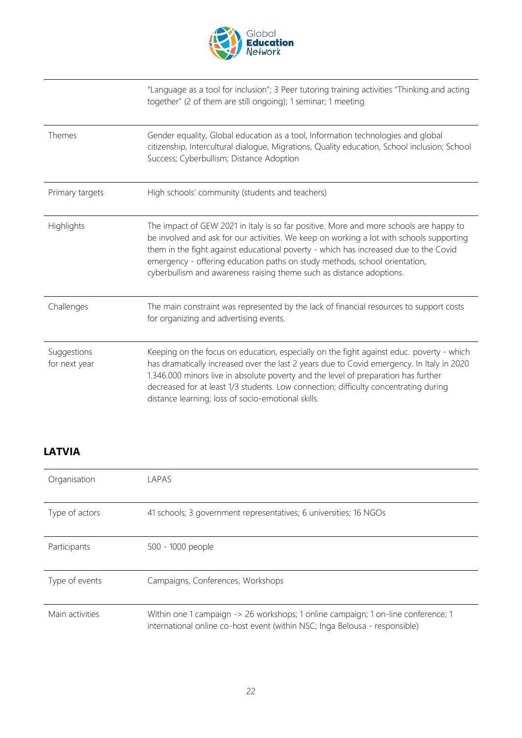

"Language as a tool for inclusion"; 3 Peer tutoring training activities "Thinking and acting together" (2 of them are still ongoing); 1 seminar; 1 meeting

| Themes                       | Gender equality, Global education as a tool, Information technologies and global<br>citizenship, Intercultural dialogue, Migrations, Quality education, School inclusion; School<br>Success; Cyberbullism; Distance Adoption                                                                                                                                                                                                     |
|------------------------------|----------------------------------------------------------------------------------------------------------------------------------------------------------------------------------------------------------------------------------------------------------------------------------------------------------------------------------------------------------------------------------------------------------------------------------|
| Primary targets              | High schools' community (students and teachers)                                                                                                                                                                                                                                                                                                                                                                                  |
| Highlights                   | The impact of GEW 2021 in Italy is so far positive. More and more schools are happy to<br>be involved and ask for our activities. We keep on working a lot with schools supporting<br>them in the fight against educational poverty - which has increased due to the Covid<br>emergency - offering education paths on study methods, school orientation,<br>cyberbullism and awareness raising theme such as distance adoptions. |
| Challenges                   | The main constraint was represented by the lack of financial resources to support costs<br>for organizing and advertising events.                                                                                                                                                                                                                                                                                                |
| Suggestions<br>for next year | Keeping on the focus on education, especially on the fight against educ. poverty - which<br>has dramatically increased over the last 2 years due to Covid emergency. In Italy in 2020<br>1.346.000 minors live in absolute poverty and the level of preparation has further<br>decreased for at least 1/3 students. Low connection; difficulty concentrating during<br>distance learning; loss of socio-emotional skills.        |

#### <span id="page-21-0"></span>**LATVIA**

| Organisation    | LAPAS                                                                                                                                                            |
|-----------------|------------------------------------------------------------------------------------------------------------------------------------------------------------------|
| Type of actors  | 41 schools; 3 government representatives; 6 universities; 16 NGOs                                                                                                |
| Participants    | 500 - 1000 people                                                                                                                                                |
| Type of events  | Campaigns, Conferences, Workshops                                                                                                                                |
| Main activities | Within one 1 campaign -> 26 workshops; 1 online campaign; 1 on-line conference; 1<br>international online co-host event (within NSC; Inga Belousa - responsible) |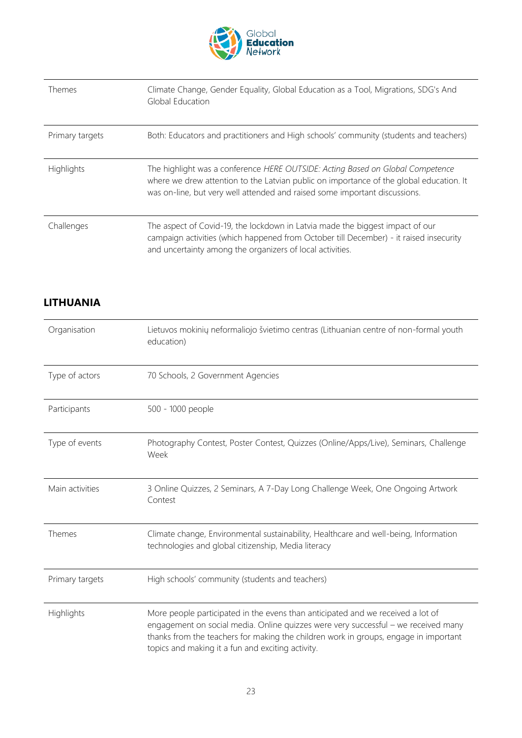

| Themes          | Climate Change, Gender Equality, Global Education as a Tool, Migrations, SDG's And<br>Global Education                                                                                                                                                  |
|-----------------|---------------------------------------------------------------------------------------------------------------------------------------------------------------------------------------------------------------------------------------------------------|
| Primary targets | Both: Educators and practitioners and High schools' community (students and teachers)                                                                                                                                                                   |
| Highlights      | The highlight was a conference HERE OUTSIDE: Acting Based on Global Competence<br>where we drew attention to the Latvian public on importance of the global education. It<br>was on-line, but very well attended and raised some important discussions. |
| Challenges      | The aspect of Covid-19, the lockdown in Latvia made the biggest impact of our<br>campaign activities (which happened from October till December) - it raised insecurity<br>and uncertainty among the organizers of local activities.                    |

#### <span id="page-22-0"></span>**LITHUANIA**

| Organisation    | Lietuvos mokinių neformaliojo švietimo centras (Lithuanian centre of non-formal youth<br>education)                                                                                                                                                                                                                |
|-----------------|--------------------------------------------------------------------------------------------------------------------------------------------------------------------------------------------------------------------------------------------------------------------------------------------------------------------|
| Type of actors  | 70 Schools, 2 Government Agencies                                                                                                                                                                                                                                                                                  |
| Participants    | 500 - 1000 people                                                                                                                                                                                                                                                                                                  |
| Type of events  | Photography Contest, Poster Contest, Quizzes (Online/Apps/Live), Seminars, Challenge<br>Week                                                                                                                                                                                                                       |
| Main activities | 3 Online Quizzes, 2 Seminars, A 7-Day Long Challenge Week, One Ongoing Artwork<br>Contest                                                                                                                                                                                                                          |
| Themes          | Climate change, Environmental sustainability, Healthcare and well-being, Information<br>technologies and global citizenship, Media literacy                                                                                                                                                                        |
| Primary targets | High schools' community (students and teachers)                                                                                                                                                                                                                                                                    |
| Highlights      | More people participated in the evens than anticipated and we received a lot of<br>engagement on social media. Online quizzes were very successful - we received many<br>thanks from the teachers for making the children work in groups, engage in important<br>topics and making it a fun and exciting activity. |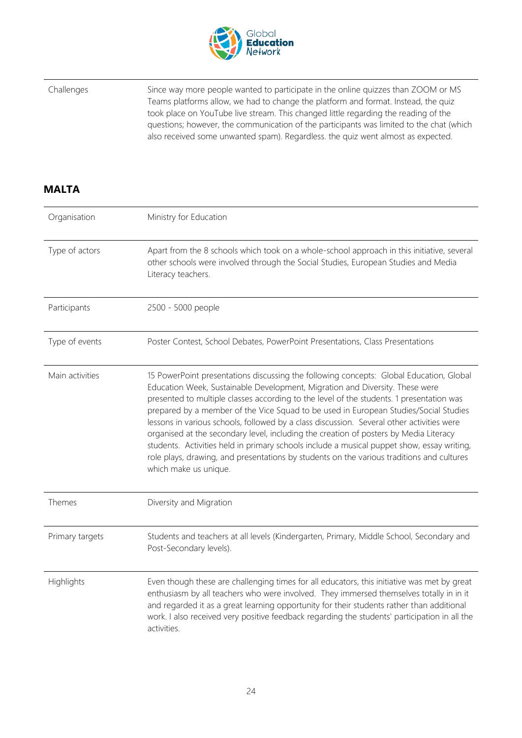

Challenges Since way more people wanted to participate in the online quizzes than ZOOM or MS Teams platforms allow, we had to change the platform and format. Instead, the quiz took place on YouTube live stream. This changed little regarding the reading of the questions; however, the communication of the participants was limited to the chat (which also received some unwanted spam). Regardless. the quiz went almost as expected.

#### <span id="page-23-0"></span>**MALTA**

| Organisation    | Ministry for Education                                                                                                                                                                                                                                                                                                                                                                                                                                                                                                                                                                                                                                                                                                                                                |
|-----------------|-----------------------------------------------------------------------------------------------------------------------------------------------------------------------------------------------------------------------------------------------------------------------------------------------------------------------------------------------------------------------------------------------------------------------------------------------------------------------------------------------------------------------------------------------------------------------------------------------------------------------------------------------------------------------------------------------------------------------------------------------------------------------|
| Type of actors  | Apart from the 8 schools which took on a whole-school approach in this initiative, several<br>other schools were involved through the Social Studies, European Studies and Media<br>Literacy teachers.                                                                                                                                                                                                                                                                                                                                                                                                                                                                                                                                                                |
| Participants    | 2500 - 5000 people                                                                                                                                                                                                                                                                                                                                                                                                                                                                                                                                                                                                                                                                                                                                                    |
| Type of events  | Poster Contest, School Debates, PowerPoint Presentations, Class Presentations                                                                                                                                                                                                                                                                                                                                                                                                                                                                                                                                                                                                                                                                                         |
| Main activities | 15 PowerPoint presentations discussing the following concepts: Global Education, Global<br>Education Week, Sustainable Development, Migration and Diversity. These were<br>presented to multiple classes according to the level of the students. 1 presentation was<br>prepared by a member of the Vice Squad to be used in European Studies/Social Studies<br>lessons in various schools, followed by a class discussion. Several other activities were<br>organised at the secondary level, including the creation of posters by Media Literacy<br>students. Activities held in primary schools include a musical puppet show, essay writing,<br>role plays, drawing, and presentations by students on the various traditions and cultures<br>which make us unique. |
| Themes          | Diversity and Migration                                                                                                                                                                                                                                                                                                                                                                                                                                                                                                                                                                                                                                                                                                                                               |
| Primary targets | Students and teachers at all levels (Kindergarten, Primary, Middle School, Secondary and<br>Post-Secondary levels).                                                                                                                                                                                                                                                                                                                                                                                                                                                                                                                                                                                                                                                   |
| Highlights      | Even though these are challenging times for all educators, this initiative was met by great<br>enthusiasm by all teachers who were involved. They immersed themselves totally in in it<br>and regarded it as a great learning opportunity for their students rather than additional<br>work. I also received very positive feedback regarding the students' participation in all the<br>activities.                                                                                                                                                                                                                                                                                                                                                                   |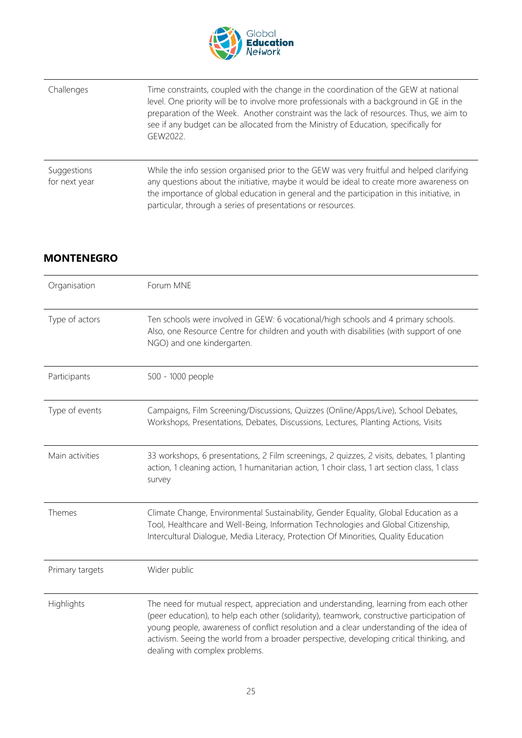

| Challenges                   | Time constraints, coupled with the change in the coordination of the GEW at national<br>level. One priority will be to involve more professionals with a background in GE in the<br>preparation of the Week. Another constraint was the lack of resources. Thus, we aim to<br>see if any budget can be allocated from the Ministry of Education, specifically for<br>GEW2022. |
|------------------------------|-------------------------------------------------------------------------------------------------------------------------------------------------------------------------------------------------------------------------------------------------------------------------------------------------------------------------------------------------------------------------------|
| Suggestions<br>for next year | While the info session organised prior to the GEW was very fruitful and helped clarifying<br>any questions about the initiative, maybe it would be ideal to create more awareness on<br>the importance of global education in general and the participation in this initiative, in<br>particular, through a series of presentations or resources.                             |

#### <span id="page-24-0"></span>**MONTENEGRO**

| Organisation    | Forum MNE                                                                                                                                                                                                                                                                                                                                                                                                    |
|-----------------|--------------------------------------------------------------------------------------------------------------------------------------------------------------------------------------------------------------------------------------------------------------------------------------------------------------------------------------------------------------------------------------------------------------|
| Type of actors  | Ten schools were involved in GEW: 6 vocational/high schools and 4 primary schools.<br>Also, one Resource Centre for children and youth with disabilities (with support of one<br>NGO) and one kindergarten.                                                                                                                                                                                                  |
| Participants    | 500 - 1000 people                                                                                                                                                                                                                                                                                                                                                                                            |
| Type of events  | Campaigns, Film Screening/Discussions, Quizzes (Online/Apps/Live), School Debates,<br>Workshops, Presentations, Debates, Discussions, Lectures, Planting Actions, Visits                                                                                                                                                                                                                                     |
| Main activities | 33 workshops, 6 presentations, 2 Film screenings, 2 quizzes, 2 visits, debates, 1 planting<br>action, 1 cleaning action, 1 humanitarian action, 1 choir class, 1 art section class, 1 class<br>survey                                                                                                                                                                                                        |
| Themes          | Climate Change, Environmental Sustainability, Gender Equality, Global Education as a<br>Tool, Healthcare and Well-Being, Information Technologies and Global Citizenship,<br>Intercultural Dialogue, Media Literacy, Protection Of Minorities, Quality Education                                                                                                                                             |
| Primary targets | Wider public                                                                                                                                                                                                                                                                                                                                                                                                 |
| Highlights      | The need for mutual respect, appreciation and understanding, learning from each other<br>(peer education), to help each other (solidarity), teamwork, constructive participation of<br>young people, awareness of conflict resolution and a clear understanding of the idea of<br>activism. Seeing the world from a broader perspective, developing critical thinking, and<br>dealing with complex problems. |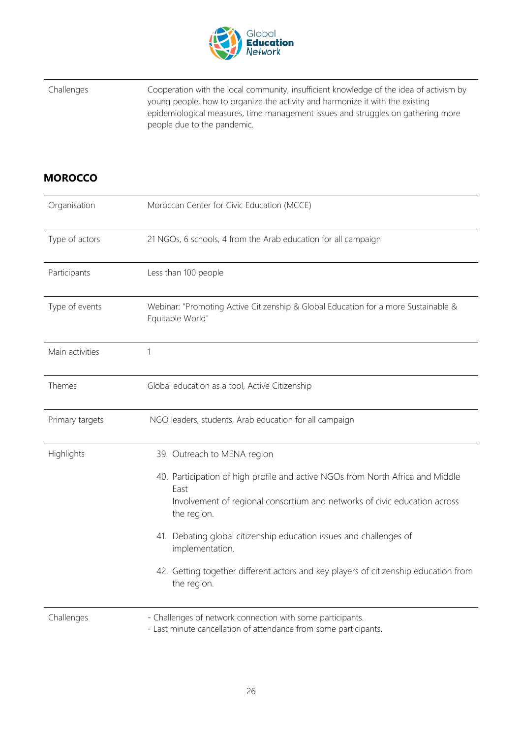

Challenges Cooperation with the local community, insufficient knowledge of the idea of activism by young people, how to organize the activity and harmonize it with the existing epidemiological measures, time management issues and struggles on gathering more people due to the pandemic.

#### <span id="page-25-0"></span>**MOROCCO**

| Organisation    | Moroccan Center for Civic Education (MCCE)                                                                                     |
|-----------------|--------------------------------------------------------------------------------------------------------------------------------|
| Type of actors  | 21 NGOs, 6 schools, 4 from the Arab education for all campaign                                                                 |
| Participants    | Less than 100 people                                                                                                           |
| Type of events  | Webinar: "Promoting Active Citizenship & Global Education for a more Sustainable &<br>Equitable World"                         |
| Main activities | 1                                                                                                                              |
| Themes          | Global education as a tool, Active Citizenship                                                                                 |
| Primary targets | NGO leaders, students, Arab education for all campaign                                                                         |
| Highlights      | 39. Outreach to MENA region                                                                                                    |
|                 | 40. Participation of high profile and active NGOs from North Africa and Middle<br>East                                         |
|                 | Involvement of regional consortium and networks of civic education across<br>the region.                                       |
|                 | 41. Debating global citizenship education issues and challenges of<br>implementation.                                          |
|                 | 42. Getting together different actors and key players of citizenship education from<br>the region.                             |
| Challenges      | - Challenges of network connection with some participants.<br>- Last minute cancellation of attendance from some participants. |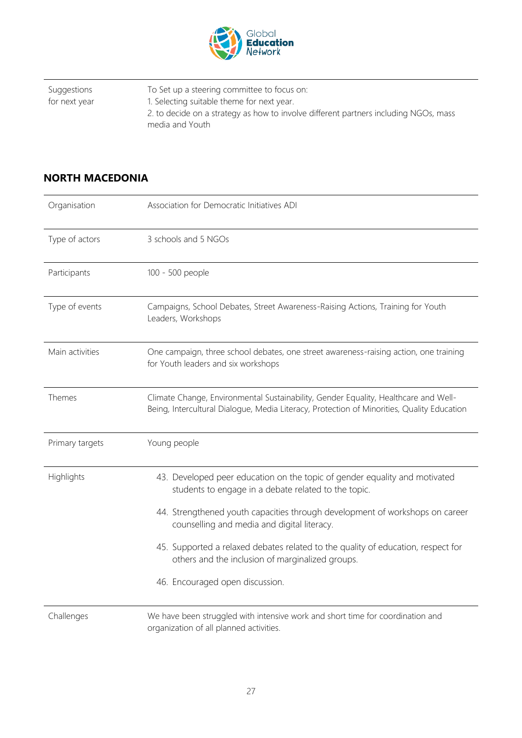

| Suggestions   | To Set up a steering committee to focus on:                                          |
|---------------|--------------------------------------------------------------------------------------|
| for next year | 1. Selecting suitable theme for next year.                                           |
|               | 2. to decide on a strategy as how to involve different partners including NGOs, mass |
|               | media and Youth                                                                      |

#### <span id="page-26-0"></span>**NORTH MACEDONIA**

| Organisation    | Association for Democratic Initiatives ADI                                                                                                                                        |
|-----------------|-----------------------------------------------------------------------------------------------------------------------------------------------------------------------------------|
| Type of actors  | 3 schools and 5 NGOs                                                                                                                                                              |
| Participants    | 100 - 500 people                                                                                                                                                                  |
| Type of events  | Campaigns, School Debates, Street Awareness-Raising Actions, Training for Youth<br>Leaders, Workshops                                                                             |
| Main activities | One campaign, three school debates, one street awareness-raising action, one training<br>for Youth leaders and six workshops                                                      |
| Themes          | Climate Change, Environmental Sustainability, Gender Equality, Healthcare and Well-<br>Being, Intercultural Dialogue, Media Literacy, Protection of Minorities, Quality Education |
|                 |                                                                                                                                                                                   |
| Primary targets | Young people                                                                                                                                                                      |
| Highlights      | 43. Developed peer education on the topic of gender equality and motivated<br>students to engage in a debate related to the topic.                                                |
|                 | 44. Strengthened youth capacities through development of workshops on career<br>counselling and media and digital literacy.                                                       |
|                 | 45. Supported a relaxed debates related to the quality of education, respect for<br>others and the inclusion of marginalized groups.                                              |
|                 | 46. Encouraged open discussion.                                                                                                                                                   |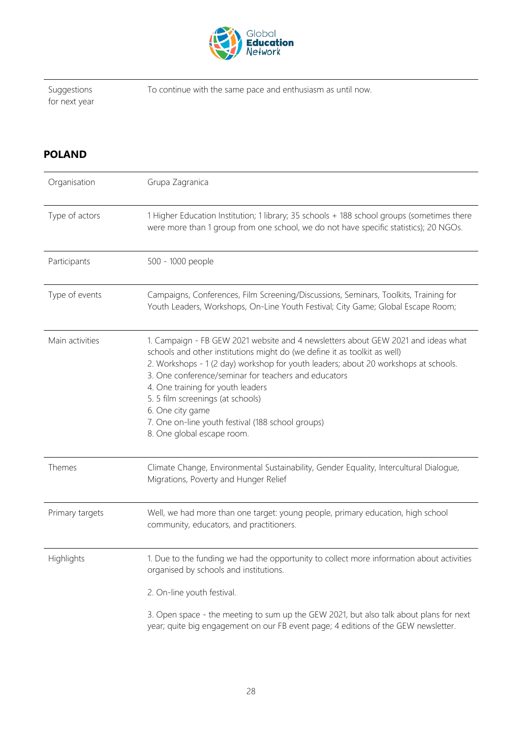

Suggestions for next year To continue with the same pace and enthusiasm as until now.

#### <span id="page-27-0"></span>**POLAND**

| Organisation    | Grupa Zagranica                                                                                                                                                                                                                                                                                                                                                                                                                                                                               |
|-----------------|-----------------------------------------------------------------------------------------------------------------------------------------------------------------------------------------------------------------------------------------------------------------------------------------------------------------------------------------------------------------------------------------------------------------------------------------------------------------------------------------------|
| Type of actors  | 1 Higher Education Institution; 1 library; 35 schools + 188 school groups (sometimes there<br>were more than 1 group from one school, we do not have specific statistics); 20 NGOs.                                                                                                                                                                                                                                                                                                           |
| Participants    | 500 - 1000 people                                                                                                                                                                                                                                                                                                                                                                                                                                                                             |
| Type of events  | Campaigns, Conferences, Film Screening/Discussions, Seminars, Toolkits, Training for<br>Youth Leaders, Workshops, On-Line Youth Festival; City Game; Global Escape Room;                                                                                                                                                                                                                                                                                                                      |
| Main activities | 1. Campaign - FB GEW 2021 website and 4 newsletters about GEW 2021 and ideas what<br>schools and other institutions might do (we define it as toolkit as well)<br>2. Workshops - 1 (2 day) workshop for youth leaders; about 20 workshops at schools.<br>3. One conference/seminar for teachers and educators<br>4. One training for youth leaders<br>5.5 film screenings (at schools)<br>6. One city game<br>7. One on-line youth festival (188 school groups)<br>8. One global escape room. |
| Themes          | Climate Change, Environmental Sustainability, Gender Equality, Intercultural Dialogue,<br>Migrations, Poverty and Hunger Relief                                                                                                                                                                                                                                                                                                                                                               |
| Primary targets | Well, we had more than one target: young people, primary education, high school<br>community, educators, and practitioners.                                                                                                                                                                                                                                                                                                                                                                   |
| Highlights      | 1. Due to the funding we had the opportunity to collect more information about activities<br>organised by schools and institutions.                                                                                                                                                                                                                                                                                                                                                           |
|                 | 2. On-line youth festival.                                                                                                                                                                                                                                                                                                                                                                                                                                                                    |
|                 | 3. Open space - the meeting to sum up the GEW 2021, but also talk about plans for next<br>year; quite big engagement on our FB event page; 4 editions of the GEW newsletter.                                                                                                                                                                                                                                                                                                                  |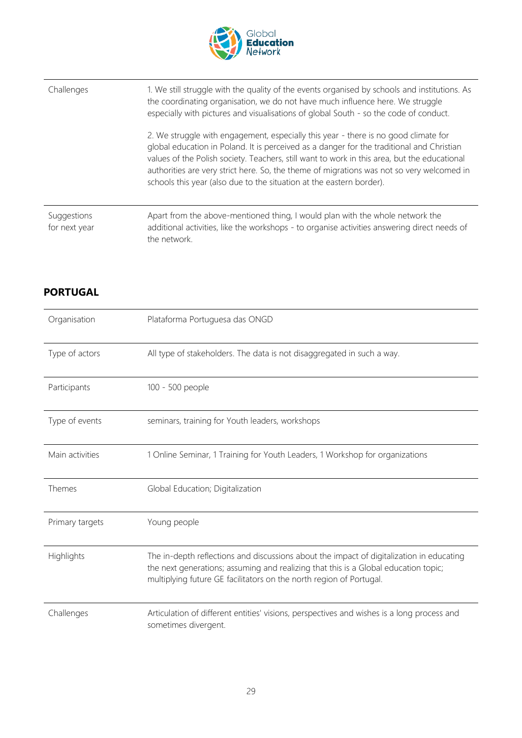

| Challenges                   | 1. We still struggle with the quality of the events organised by schools and institutions. As<br>the coordinating organisation, we do not have much influence here. We struggle<br>especially with pictures and visualisations of global South - so the code of conduct.                                                                                                                                                                              |
|------------------------------|-------------------------------------------------------------------------------------------------------------------------------------------------------------------------------------------------------------------------------------------------------------------------------------------------------------------------------------------------------------------------------------------------------------------------------------------------------|
|                              | 2. We struggle with engagement, especially this year - there is no good climate for<br>global education in Poland. It is perceived as a danger for the traditional and Christian<br>values of the Polish society. Teachers, still want to work in this area, but the educational<br>authorities are very strict here. So, the theme of migrations was not so very welcomed in<br>schools this year (also due to the situation at the eastern border). |
| Suggestions<br>for next year | Apart from the above-mentioned thing, I would plan with the whole network the<br>additional activities, like the workshops - to organise activities answering direct needs of<br>the network.                                                                                                                                                                                                                                                         |

#### <span id="page-28-0"></span>**PORTUGAL**

| Organisation    | Plataforma Portuguesa das ONGD                                                                                                                                                                                                                         |
|-----------------|--------------------------------------------------------------------------------------------------------------------------------------------------------------------------------------------------------------------------------------------------------|
| Type of actors  | All type of stakeholders. The data is not disaggregated in such a way.                                                                                                                                                                                 |
| Participants    | 100 - 500 people                                                                                                                                                                                                                                       |
| Type of events  | seminars, training for Youth leaders, workshops                                                                                                                                                                                                        |
| Main activities | 1 Online Seminar, 1 Training for Youth Leaders, 1 Workshop for organizations                                                                                                                                                                           |
| Themes          | Global Education; Digitalization                                                                                                                                                                                                                       |
| Primary targets | Young people                                                                                                                                                                                                                                           |
| Highlights      | The in-depth reflections and discussions about the impact of digitalization in educating<br>the next generations; assuming and realizing that this is a Global education topic;<br>multiplying future GE facilitators on the north region of Portugal. |
| Challenges      | Articulation of different entities' visions, perspectives and wishes is a long process and<br>sometimes divergent.                                                                                                                                     |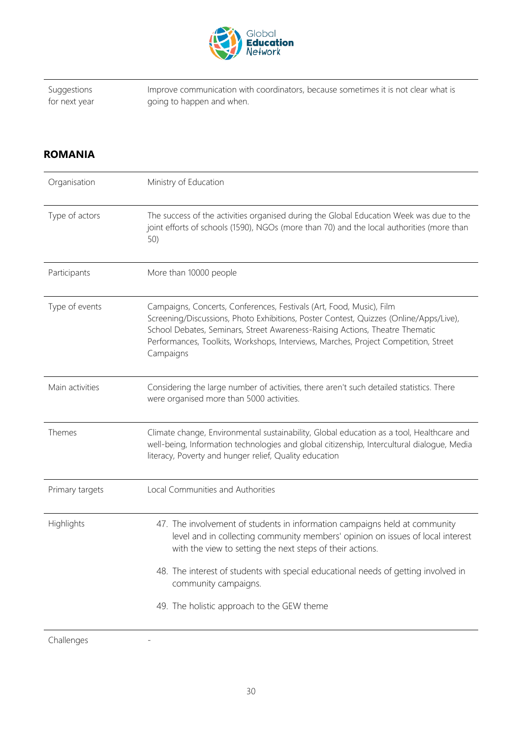

Suggestions for next year Improve communication with coordinators, because sometimes it is not clear what is going to happen and when.

#### <span id="page-29-0"></span>**ROMANIA**

| Organisation    | Ministry of Education                                                                                                                                                                                                                                                                                                                             |
|-----------------|---------------------------------------------------------------------------------------------------------------------------------------------------------------------------------------------------------------------------------------------------------------------------------------------------------------------------------------------------|
| Type of actors  | The success of the activities organised during the Global Education Week was due to the<br>joint efforts of schools (1590), NGOs (more than 70) and the local authorities (more than<br>50)                                                                                                                                                       |
| Participants    | More than 10000 people                                                                                                                                                                                                                                                                                                                            |
| Type of events  | Campaigns, Concerts, Conferences, Festivals (Art, Food, Music), Film<br>Screening/Discussions, Photo Exhibitions, Poster Contest, Quizzes (Online/Apps/Live),<br>School Debates, Seminars, Street Awareness-Raising Actions, Theatre Thematic<br>Performances, Toolkits, Workshops, Interviews, Marches, Project Competition, Street<br>Campaigns |
| Main activities | Considering the large number of activities, there aren't such detailed statistics. There<br>were organised more than 5000 activities.                                                                                                                                                                                                             |
| Themes          | Climate change, Environmental sustainability, Global education as a tool, Healthcare and<br>well-being, Information technologies and global citizenship, Intercultural dialogue, Media<br>literacy, Poverty and hunger relief, Quality education                                                                                                  |
| Primary targets | Local Communities and Authorities                                                                                                                                                                                                                                                                                                                 |
| Highlights      | 47. The involvement of students in information campaigns held at community<br>level and in collecting community members' opinion on issues of local interest<br>with the view to setting the next steps of their actions.                                                                                                                         |
|                 | 48. The interest of students with special educational needs of getting involved in<br>community campaigns.                                                                                                                                                                                                                                        |
|                 | 49. The holistic approach to the GEW theme                                                                                                                                                                                                                                                                                                        |

Challenges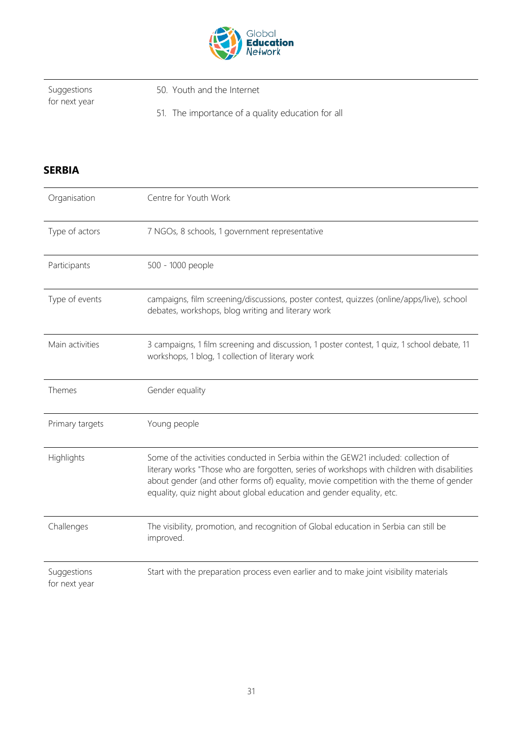

Suggestions for next year 50. Youth and the Internet

51. The importance of a quality education for all

#### <span id="page-30-0"></span>**SERBIA**

| Organisation                 | Centre for Youth Work                                                                                                                                                                                                                                                                                                                                  |
|------------------------------|--------------------------------------------------------------------------------------------------------------------------------------------------------------------------------------------------------------------------------------------------------------------------------------------------------------------------------------------------------|
| Type of actors               | 7 NGOs, 8 schools, 1 government representative                                                                                                                                                                                                                                                                                                         |
| Participants                 | 500 - 1000 people                                                                                                                                                                                                                                                                                                                                      |
| Type of events               | campaigns, film screening/discussions, poster contest, quizzes (online/apps/live), school<br>debates, workshops, blog writing and literary work                                                                                                                                                                                                        |
| Main activities              | 3 campaigns, 1 film screening and discussion, 1 poster contest, 1 quiz, 1 school debate, 11<br>workshops, 1 blog, 1 collection of literary work                                                                                                                                                                                                        |
| Themes                       | Gender equality                                                                                                                                                                                                                                                                                                                                        |
| Primary targets              | Young people                                                                                                                                                                                                                                                                                                                                           |
| Highlights                   | Some of the activities conducted in Serbia within the GEW21 included: collection of<br>literary works "Those who are forgotten, series of workshops with children with disabilities<br>about gender (and other forms of) equality, movie competition with the theme of gender<br>equality, quiz night about global education and gender equality, etc. |
| Challenges                   | The visibility, promotion, and recognition of Global education in Serbia can still be<br>improved.                                                                                                                                                                                                                                                     |
| Suggestions<br>for next year | Start with the preparation process even earlier and to make joint visibility materials                                                                                                                                                                                                                                                                 |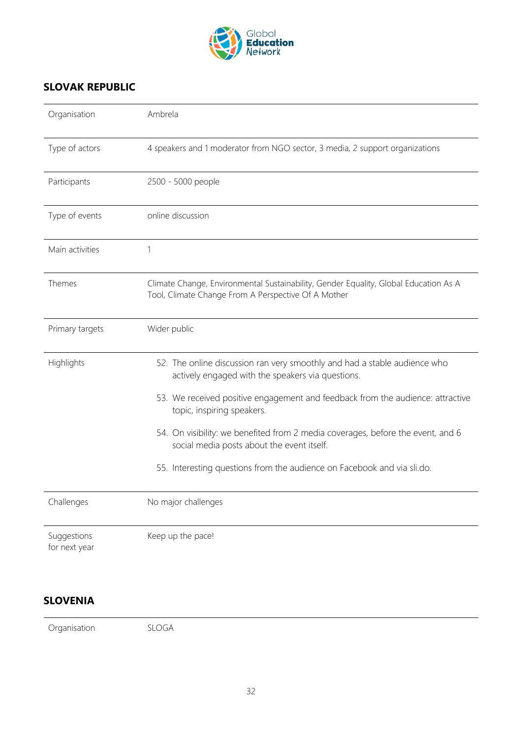

#### <span id="page-31-0"></span>**SLOVAK REPUBLIC**

| Organisation                 | Ambrela                                                                                                                                     |
|------------------------------|---------------------------------------------------------------------------------------------------------------------------------------------|
| Type of actors               | 4 speakers and 1 moderator from NGO sector, 3 media, 2 support organizations                                                                |
| Participants                 | 2500 - 5000 people                                                                                                                          |
| Type of events               | online discussion                                                                                                                           |
| Main activities              | 1                                                                                                                                           |
| Themes                       | Climate Change, Environmental Sustainability, Gender Equality, Global Education As A<br>Tool, Climate Change From A Perspective Of A Mother |
| Primary targets              | Wider public                                                                                                                                |
| Highlights                   | 52. The online discussion ran very smoothly and had a stable audience who<br>actively engaged with the speakers via questions.              |
|                              | 53. We received positive engagement and feedback from the audience: attractive<br>topic, inspiring speakers.                                |
|                              | 54. On visibility: we benefited from 2 media coverages, before the event, and 6<br>social media posts about the event itself.               |
|                              | 55. Interesting questions from the audience on Facebook and via sli.do.                                                                     |
| Challenges                   | No major challenges                                                                                                                         |
| Suggestions<br>for next year | Keep up the pace!                                                                                                                           |

#### <span id="page-31-1"></span>**SLOVENIA**

Organisation SLOGA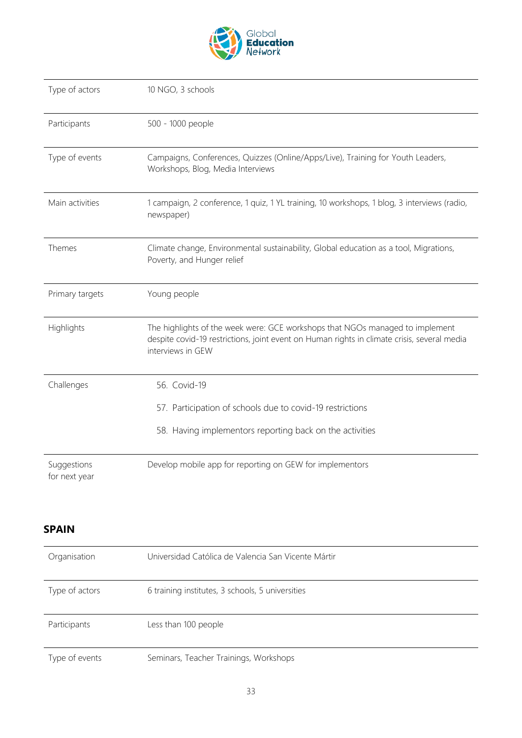

| Type of actors  | 10 NGO, 3 schools                                                                                                                                                                                 |
|-----------------|---------------------------------------------------------------------------------------------------------------------------------------------------------------------------------------------------|
| Participants    | 500 - 1000 people                                                                                                                                                                                 |
| Type of events  | Campaigns, Conferences, Quizzes (Online/Apps/Live), Training for Youth Leaders,<br>Workshops, Blog, Media Interviews                                                                              |
| Main activities | 1 campaign, 2 conference, 1 quiz, 1 YL training, 10 workshops, 1 blog, 3 interviews (radio,<br>newspaper)                                                                                         |
| Themes          | Climate change, Environmental sustainability, Global education as a tool, Migrations,<br>Poverty, and Hunger relief                                                                               |
| Primary targets | Young people                                                                                                                                                                                      |
| Highlights      | The highlights of the week were: GCE workshops that NGOs managed to implement<br>despite covid-19 restrictions, joint event on Human rights in climate crisis, several media<br>interviews in GEW |
|                 |                                                                                                                                                                                                   |
| Challenges      | 56. Covid-19                                                                                                                                                                                      |
|                 | 57. Participation of schools due to covid-19 restrictions                                                                                                                                         |
|                 | 58. Having implementors reporting back on the activities                                                                                                                                          |

#### <span id="page-32-0"></span>**SPAIN**

| Organisation   | Universidad Católica de Valencia San Vicente Mártir |
|----------------|-----------------------------------------------------|
| Type of actors | 6 training institutes, 3 schools, 5 universities    |
| Participants   | Less than 100 people                                |
| Type of events | Seminars, Teacher Trainings, Workshops              |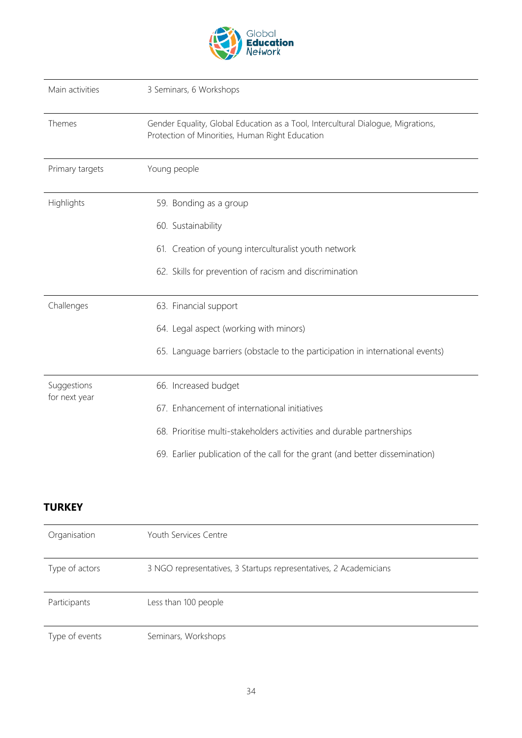

| Main activities              | 3 Seminars, 6 Workshops                                                                                                             |
|------------------------------|-------------------------------------------------------------------------------------------------------------------------------------|
| Themes                       | Gender Equality, Global Education as a Tool, Intercultural Dialogue, Migrations,<br>Protection of Minorities, Human Right Education |
| Primary targets              | Young people                                                                                                                        |
| Highlights                   | 59. Bonding as a group                                                                                                              |
|                              | 60. Sustainability                                                                                                                  |
|                              | 61. Creation of young interculturalist youth network                                                                                |
|                              | 62. Skills for prevention of racism and discrimination                                                                              |
| Challenges                   | 63. Financial support                                                                                                               |
|                              | 64. Legal aspect (working with minors)                                                                                              |
|                              | 65. Language barriers (obstacle to the participation in international events)                                                       |
| Suggestions<br>for next year | 66. Increased budget                                                                                                                |
|                              | 67. Enhancement of international initiatives                                                                                        |
|                              | 68. Prioritise multi-stakeholders activities and durable partnerships                                                               |
|                              | 69. Earlier publication of the call for the grant (and better dissemination)                                                        |

#### <span id="page-33-0"></span>**TURKEY**

| Organisation   | Youth Services Centre                                             |
|----------------|-------------------------------------------------------------------|
| Type of actors | 3 NGO representatives, 3 Startups representatives, 2 Academicians |
| Participants   | Less than 100 people                                              |
| Type of events | Seminars, Workshops                                               |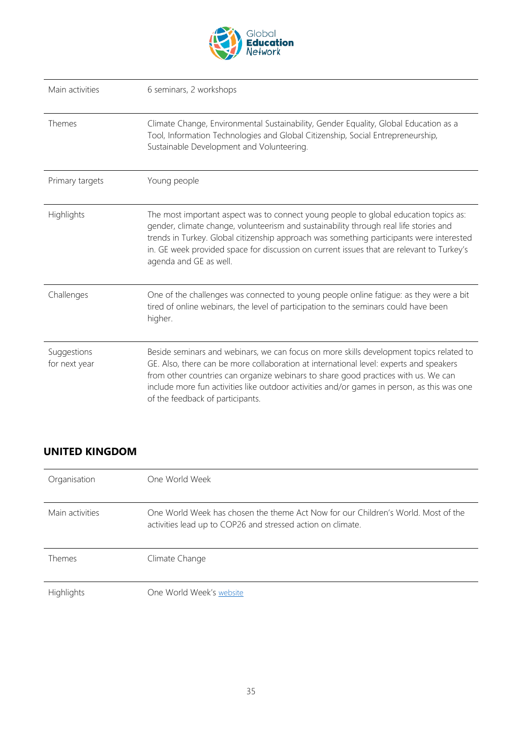

| Main activities              | 6 seminars, 2 workshops                                                                                                                                                                                                                                                                                                                                                                                    |
|------------------------------|------------------------------------------------------------------------------------------------------------------------------------------------------------------------------------------------------------------------------------------------------------------------------------------------------------------------------------------------------------------------------------------------------------|
| Themes                       | Climate Change, Environmental Sustainability, Gender Equality, Global Education as a<br>Tool, Information Technologies and Global Citizenship, Social Entrepreneurship,<br>Sustainable Development and Volunteering.                                                                                                                                                                                       |
| Primary targets              | Young people                                                                                                                                                                                                                                                                                                                                                                                               |
| Highlights                   | The most important aspect was to connect young people to global education topics as:<br>gender, climate change, volunteerism and sustainability through real life stories and<br>trends in Turkey. Global citizenship approach was something participants were interested<br>in. GE week provided space for discussion on current issues that are relevant to Turkey's<br>agenda and GE as well.           |
| Challenges                   | One of the challenges was connected to young people online fatigue: as they were a bit<br>tired of online webinars, the level of participation to the seminars could have been<br>higher.                                                                                                                                                                                                                  |
| Suggestions<br>for next year | Beside seminars and webinars, we can focus on more skills development topics related to<br>GE. Also, there can be more collaboration at international level: experts and speakers<br>from other countries can organize webinars to share good practices with us. We can<br>include more fun activities like outdoor activities and/or games in person, as this was one<br>of the feedback of participants. |

#### <span id="page-34-0"></span>**UNITED KINGDOM**

| Organisation    | One World Week                                                                                                                                   |
|-----------------|--------------------------------------------------------------------------------------------------------------------------------------------------|
| Main activities | One World Week has chosen the theme Act Now for our Children's World. Most of the<br>activities lead up to COP26 and stressed action on climate. |
| Themes          | Climate Change                                                                                                                                   |
| Highlights      | One World Week's website                                                                                                                         |